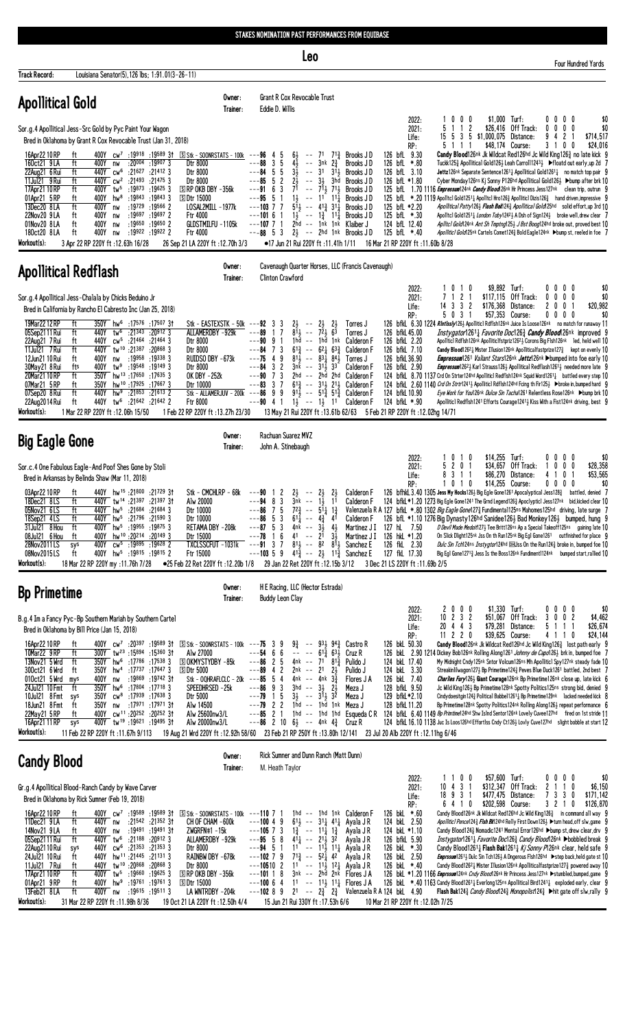| STAKES NOMINATION PAST PERFORMANCES FROM EQUIBASE |
|---------------------------------------------------|
|---------------------------------------------------|

Leo

| Track Record:                                                                                                                                                                          | Louisiana Senator(5), 126 lbs; 1:91.01(3-26-11)                                                                                                                                                                                                                                                                                  |                                                                                                                                                                                                                                                                                                                                                                                                                                                     |                                                                                                                                                                                                                                                                                                                                |                                                                                                                                                                  |                                                                                                                                                                                                                                                                                                                                                                                                                                          |                                                                                                                  |                                                                                                                                    |                                                                                                                                                                                                                                    |                                                                                                                                                                                                                                                                                                                                                                                                                                                                                                                                                                       |                                                                   |                                                               |                                                                               |                                                                                                                                                                                                                                                                                                                                                                                                                                                                                                                                                                                                                                                                                                                                                             |
|----------------------------------------------------------------------------------------------------------------------------------------------------------------------------------------|----------------------------------------------------------------------------------------------------------------------------------------------------------------------------------------------------------------------------------------------------------------------------------------------------------------------------------|-----------------------------------------------------------------------------------------------------------------------------------------------------------------------------------------------------------------------------------------------------------------------------------------------------------------------------------------------------------------------------------------------------------------------------------------------------|--------------------------------------------------------------------------------------------------------------------------------------------------------------------------------------------------------------------------------------------------------------------------------------------------------------------------------|------------------------------------------------------------------------------------------------------------------------------------------------------------------|------------------------------------------------------------------------------------------------------------------------------------------------------------------------------------------------------------------------------------------------------------------------------------------------------------------------------------------------------------------------------------------------------------------------------------------|------------------------------------------------------------------------------------------------------------------|------------------------------------------------------------------------------------------------------------------------------------|------------------------------------------------------------------------------------------------------------------------------------------------------------------------------------------------------------------------------------|-----------------------------------------------------------------------------------------------------------------------------------------------------------------------------------------------------------------------------------------------------------------------------------------------------------------------------------------------------------------------------------------------------------------------------------------------------------------------------------------------------------------------------------------------------------------------|-------------------------------------------------------------------|---------------------------------------------------------------|-------------------------------------------------------------------------------|-------------------------------------------------------------------------------------------------------------------------------------------------------------------------------------------------------------------------------------------------------------------------------------------------------------------------------------------------------------------------------------------------------------------------------------------------------------------------------------------------------------------------------------------------------------------------------------------------------------------------------------------------------------------------------------------------------------------------------------------------------------|
| <b>Apollitical Gold</b>                                                                                                                                                                |                                                                                                                                                                                                                                                                                                                                  |                                                                                                                                                                                                                                                                                                                                                                                                                                                     | Owner:<br>Trainer:                                                                                                                                                                                                                                                                                                             | Eddie D. Willis                                                                                                                                                  | Grant R Cox Revocable Trust                                                                                                                                                                                                                                                                                                                                                                                                              |                                                                                                                  |                                                                                                                                    |                                                                                                                                                                                                                                    |                                                                                                                                                                                                                                                                                                                                                                                                                                                                                                                                                                       |                                                                   |                                                               |                                                                               |                                                                                                                                                                                                                                                                                                                                                                                                                                                                                                                                                                                                                                                                                                                                                             |
|                                                                                                                                                                                        | Sor.g.4 Apollitical Jess-Src Gold by Pyc Paint Your Wagon<br>Bred in Oklahoma by Grant R Cox Revocable Trust (Jan 31, 2018)                                                                                                                                                                                                      |                                                                                                                                                                                                                                                                                                                                                                                                                                                     |                                                                                                                                                                                                                                                                                                                                |                                                                                                                                                                  |                                                                                                                                                                                                                                                                                                                                                                                                                                          |                                                                                                                  |                                                                                                                                    | 2022:<br>2021:<br>Life:<br>RP:                                                                                                                                                                                                     | 1000<br>5<br>$1\quad1$<br>5 1 1 1                                                                                                                                                                                                                                                                                                                                                                                                                                                                                                                                     | \$1,000 Turf:<br>$\overline{c}$<br>15 5 3 5 \$1,000,075 Distance: | \$26,416 Off Track:<br>\$48,174 Course:                       | 0000<br>$0\ 0\ 0$<br>0<br>$\mathbf{2}$<br>9<br>4<br>3 1 0 0                   | \$0<br>\$0<br>\$714,517<br>\$24,016                                                                                                                                                                                                                                                                                                                                                                                                                                                                                                                                                                                                                                                                                                                         |
| 16Apr22 10 RP<br>160ct21 9LA<br>22Aug21 6 Rui<br>11Jul21 9 Rui<br>17Apr21 10 RP<br>01Apr21 5RP<br>13Dec20 8LA<br>22Nov20 9LA<br>01Nov20 8LA<br>180ct20 8LA<br>Workout(s):              | ft<br>ft<br>400Y<br>nw<br>440Y cw <sup>6</sup><br>ft<br>ft<br>ft<br>400Y hw <sup>8</sup> :19843<br>ft<br>ft<br>400Y<br>nw<br>ft<br>400Y<br>nw<br>ft<br>400Y<br>nw<br>400Y<br>ft<br>nw<br>3 Apr 22 RP 220Y ft : 12.63h 16/28                                                                                                      | $: 20^{004} : 19^{907} 3$<br>:21627<br>:21412 3<br>440Y cw <sup>2</sup> :21493 :21475 3<br>400Y tw <sup>5</sup> :19873 :19625 3<br>:198433<br>:19729<br>:19566 2<br>:19697<br>$:19697$ 2<br>:19650 :19650 2<br>:19922 :19922 2                                                                                                                                                                                                                      | 400Y cw <sup>7</sup> :19918 :19589 31 SStk - SOONRSTATS - 100k --- <b>96</b> 4 5<br>Dtr 8000<br>Dtr 8000<br>Dtr 8000<br>$S$ RP OKB DBY $-356k$<br><b>SDtr 15000</b><br>LOSAL2MILL -1977k<br><b>Ftr 4000</b><br>GLDSTMILFU -1105k<br><b>Ftr 4000</b><br>26 Sep 21 LA 220Y ft: 12.70h 3/3                                        | $---88$ 3 5<br>$---84$ 5 5<br>$---85 5 2$<br>$---91 6 3$<br>$---95 5 1$<br>$---103$ 7 7<br>$---10161$<br>$---107$ 7 1<br>$---88 \quad 5 \quad 3$                 | 64<br>-- 71<br>$4\overline{1}$<br>$\sim$ $-$<br>$3\overline{1}$<br>$--31$<br>$2\overline{2}$<br>$7^{\overline{1}}$ -- $7^{\overline{1}\overline{1}}$ $7^{\overline{1}\overline{3}}$<br>$1\frac{1}{2}$<br>$5\overline{1}$ <sub>2</sub> -- $41\overline{2}$ $31\overline{1}$<br>$1\frac{1}{2}$ -- $1\frac{3}{4}$ $11\frac{1}{4}$<br>2hd -- 1nk 1nk Klaiber J<br>$2\frac{1}{2}$ -- 2hd 1nk Brooks JD<br>•17 Jun 21 Rui 220Y ft :11.41h 1/11 | $3nk$ $2\frac{3}{4}$<br>$31\frac{1}{2}$<br>-- 31 3hd<br>$--$ 11 11                                               | $7^{13}$ Brooks JD<br>Brooks JD<br>Brooks JD<br>Brooks JD<br>Brooks JD<br>Brooks JD<br>Brooks JD<br>Brooks J D                     | 126 bfL 9.30<br>126 bfL *.80<br>126 bfL 3.10<br>126 bfL *1.80<br>125 bfL *2.20<br>125 bfL *.30<br>124 bfL 12.40<br>125 bfL *.40<br>16 Mar 21 RP 220Y ft: 11.60b 8/28                                                               | 125 bfl. 1.70 1116 <i>Empressum</i> 124 <sup>nk</sup> <i>Candy Blood</i> 126 <sup>nk</sup> Hr Princess Jess127 <sup>nk</sup> clean trip, outrun 9<br>125 bfL *.20 1119 Apolitcl Gold1251 <sub>4</sub> Apolitcl Hro126 <sub>4</sub> Apoliticl Dizis126 <sub>4</sub> hand driven, impressive 9                                                                                                                                                                                                                                                                          |                                                                   |                                                               |                                                                               | Candy Blood126nk Jk Wildcat Red126hd Jc Wild King1263 no late kick 9<br>Tuckk125½ Apollitical Gold126½ Leah Carroll1243½ ▶ floatd out early, up 2d 7<br>Jettz126nk Separate Sentence12611 Apollitical Gold12611 no match top pair 9<br>Cyber Monday126ns Kj Sonny P126hd Apollitical Gold126} ▶bump after brk 10<br><i>Apollitical Patty</i> 1263 <i>Fl<b>ash Bak</b> 1243 Apollitical Gold</i> 125hd solid effort, up 3rd 10<br>Apolltcl Gold1251 <sub>4</sub> London Toby1242 <sub>3</sub> A Dsh of Sign124 <sub>3</sub> broke well, drew clear 7<br>Apiltci Goid 24nk Ant Sh Tmptng125} J Bst Boog124hd broke out, proved best 10<br>Apollitic1 Gold125nk Cartels Comet1243 Bold Eagle124nk ▶bump st, reeled in foe 7                                    |
| <b>Apollitical Redflash</b>                                                                                                                                                            |                                                                                                                                                                                                                                                                                                                                  |                                                                                                                                                                                                                                                                                                                                                                                                                                                     | Owner:<br>Trainer:                                                                                                                                                                                                                                                                                                             | <b>Clinton Crawford</b>                                                                                                                                          |                                                                                                                                                                                                                                                                                                                                                                                                                                          |                                                                                                                  | Cavenaugh Quarter Horses, LLC (Francis Cavenaugh)                                                                                  |                                                                                                                                                                                                                                    |                                                                                                                                                                                                                                                                                                                                                                                                                                                                                                                                                                       |                                                                   |                                                               |                                                                               |                                                                                                                                                                                                                                                                                                                                                                                                                                                                                                                                                                                                                                                                                                                                                             |
| 19Mar 22 12 RP<br>05Sep2111 Rui<br>22Aug21 7 Rui<br>11Jul21 7 Rui<br>12Jun21 10 Rui<br>30May21 8 Rui<br>20Mar21 10 RP<br>07Mar21 5 RP<br>07Sep20 8 Rui<br>22Aug2014 Rui<br>Workout(s): | Sor.g.4 Apollitical Jess-Chalala by Chicks Beduino Jr<br>Bred in California by Rancho El Cabresto Inc (Jan 25, 2018)<br>ft<br>ft<br>440Y<br>tw <sup>6</sup><br>440Y<br>ft<br>440Y tw <sup>10</sup> :21387<br>ft<br>ft<br>400Y<br>nw<br>fts<br>400Y<br>ft<br>ft<br>350Y<br>ft<br>440Y<br>ft<br>1 Mar 22 RP 220Y ft : 12.06h 15/50 | 350Y hw <sup>6</sup> :17576 :17507 31<br>:21343<br>:209123<br>cw <sup>5</sup> :21464 :21464 3<br>$:20868$ 3<br>:19958 :19338 3<br>tw <sup>9</sup> :19548 :19149 3<br>350Y hw <sup>13</sup> :17650 :17635 3<br>hw <sup>10</sup> :17925:176673<br>hw <sup>9</sup> :21853 :21613 2<br>21642: 440Y tw <sup>6</sup> :21642:                                                                                                                              | Stk - EASTEXSTK - 50k ---92 3 3<br>ALLAMERDBY -929k<br>Dtr 8000<br>Dtr 8000<br>RUIDSO DBY -673k<br>Dtr 8000<br>OK DBY -252k<br>Dtr 10000<br>Stk - ALLAMERJUV - 200k ---86 9 9<br>Ftr 8000<br>1 Feb 22 RP 220Y ft: 13.27h 23/30                                                                                                 | ---89<br>17<br>$---9091$<br>$---84$ 7 3<br>$---75$ 4 9<br>$---84$ 3 2<br>$--90$ 7 3<br>$---83$ 3 7<br>$---90$ 4 1 $1\frac{1}{2}$ $---1\frac{1}{2}$ 11 Calderon F | $2\frac{1}{2}$<br>$- - 2\frac{1}{2}$<br>$8\bar{1}$ --<br>$1hd - - 1hd$<br>$61\frac{3}{7}$<br>$8^{11}$<br>$3n\bar{k}$ -- $31\frac{1}{2}$ $33$<br>2hd -- 2hd 2hd<br>$61\frac{3}{7}$ -- $31\frac{1}{7}$ 21 $\frac{1}{7}$<br>$91\frac{1}{2}$ -- $51\frac{3}{4}$ $51\frac{3}{4}$                                                                                                                                                              | $^{21}_{63}$<br>721<br>1nk<br>$-- 62\frac{1}{4} 63\frac{3}{4}$<br>$- - 83\frac{1}{4} 84\frac{1}{2}$              | Torres J<br>Torres J<br>Calderon F<br><b>Calderon F</b><br>Torres J<br>Calderon F<br><b>Calderon F</b><br>Calderon F<br>Calderon F | 2022:<br>2021:<br>Life:<br>RP:<br>126 bfkL 45.00<br>126 bfkL 2.20<br>126 bfkL 7.10<br>126 bfkL 36.90<br>126 bfkL 2.90<br>124 bfkL 10.90<br>124 bfkL *.90<br>13 May 21 Rui 220Y ft: 13.61b 62/63 5 Feb 21 RP 220Y ft: 12.02hg 14/71 | 1010<br>7 1 2 1<br>14 3 3 2<br>5 0 3 1<br>126 bfkL 6.30 1224 RIntlssly126} Apolliticl Rdflsh126nk Juice Is Loose126nk no match for runaway 11<br>124 bfkl 8.70 1137 Crd On Strter124hd Apollitic1 Redflsh124nk Squid Word1261 <sup>1</sup> battled every step 10<br>124 bfkl. 2.60 1140 Crd On Strtr12413 Apollitic1 Rdf1sh124hd Fcing th Fir1253 >broke in, bumped hard 9                                                                                                                                                                                            | \$9,892 Turf:<br>\$176,368                                        | \$117,115 Off Track:<br>Distance:<br>\$57,353 Course:         | $0\,0\,0\,0$<br>$0\ 0\ 0$<br>0<br>$\mathbf{2}$<br>$0 \t0 \t1$<br>$0\ 0\ 0\ 0$ | \$0<br>\$0<br>\$20,982<br>\$0<br><i>Instygator</i> 1261 <sub>4</sub> <i>Favorite Doc</i> 126 <sub>4</sub> <i>Candy Blood</i> 26 <sup>nk</sup> improved 9<br>Apollticl Rdflsh126nk Apolliticlfstpriz1262½ Corons Big Flsh126nk led, held well 10<br><b>Candy Blood</b> 1262 <sup>1</sup> Mister Illusion126 <sup>nk</sup> Apolliticalfastprize127 $\frac{3}{4}$ kept on evenly 10<br><i>Empressum</i> 1261 <i>Valiant Stars</i> 126nk <i>Jettz</i> 126nk >bumped into foe early 10<br><i>Empressum</i> 126 <sup>2</sup> ½ Karl Strauss126½ Apollitical Redflash1261½ needed more late 9<br>Eye Work for You126nk Duice Sin Tacha1261 Relentless Rose126nk Dolump brk 10<br>Apolliticl Redflsh1241 Efforts Courage12413 Kiss With a Fist124nk driving, best 9 |
| <b>Big Eagle Gone</b>                                                                                                                                                                  |                                                                                                                                                                                                                                                                                                                                  |                                                                                                                                                                                                                                                                                                                                                                                                                                                     | Owner:<br>Trainer:                                                                                                                                                                                                                                                                                                             | Rachuan Suarez MVZ<br>John A. Stinebaugh                                                                                                                         |                                                                                                                                                                                                                                                                                                                                                                                                                                          |                                                                                                                  |                                                                                                                                    |                                                                                                                                                                                                                                    |                                                                                                                                                                                                                                                                                                                                                                                                                                                                                                                                                                       |                                                                   |                                                               |                                                                               |                                                                                                                                                                                                                                                                                                                                                                                                                                                                                                                                                                                                                                                                                                                                                             |
|                                                                                                                                                                                        | Sor.c.4 One Fabulous Eagle-And Poof Shes Gone by Stoli<br>Bred in Arkansas by Belinda Shaw (Mar 11, 2018)                                                                                                                                                                                                                        |                                                                                                                                                                                                                                                                                                                                                                                                                                                     |                                                                                                                                                                                                                                                                                                                                |                                                                                                                                                                  |                                                                                                                                                                                                                                                                                                                                                                                                                                          |                                                                                                                  |                                                                                                                                    | 2022:<br>2021:<br>Life:                                                                                                                                                                                                            | 1010<br>5 2 0 1<br>8 3 1 1                                                                                                                                                                                                                                                                                                                                                                                                                                                                                                                                            | $$14,255$ Turf:<br>\$34,657                                       | Off Track:<br>\$86,270 Distance:                              | $0\,0\,0\,0$<br>0<br>1<br>4 1                                                 | \$0<br>$0\quad 0$<br>\$28,358<br>\$53,565<br>0 <sub>1</sub>                                                                                                                                                                                                                                                                                                                                                                                                                                                                                                                                                                                                                                                                                                 |
| 03Apr22 10 RP<br>18Dec21 8LS<br>05Nov21 6LS<br>18Sep21 4LS<br>31Jul21 8 Hou<br>08Jul21 6 Hou<br>28Nov2011LS<br>08Nov2015LS<br>Workout(s):                                              | ft<br>440Y tw <sup>14</sup> :21397<br>ft<br>ft<br>ft<br>ft<br>ft<br>400Y<br>sys<br>ft<br>18 Mar 22 RP 220Y my : 11.76h 7/28                                                                                                                                                                                                      | 440Y hw <sup>15</sup> :21800 :21729 31<br>:21397 31<br>440Y hw <sup>5</sup> :21684 :21684 3<br>440Y hw <sup>5</sup> :21796 :21590 3<br>400Y hw <sup>5</sup> :19955 :19875 3<br>400Y hw <sup>10</sup> :20 <sup>214</sup> :20 <sup>149</sup> 3<br>$cw^5$ :19895 :19628 2<br>400Y hw <sup>5</sup> :19815 :19815 2                                                                                                                                      | Stk - CMCHLRP - 68k<br>Alw 20000<br>Dtr 10000<br>Dtr 10000<br>RETAMA DBY -208k<br>Dtr 15000<br>TXCLSSCFUT -1031k<br>Ftr 15000<br>●25 Feb 22 Ret 220Y ft:12.20b 1/8                                                                                                                                                             | 12<br>---90<br>$--94$ 8 3<br>$--86$ 7 5<br>$--86$ 5 3<br>$---87$ 5 3 4nk<br>---78 1 6<br>$---91 \quad 3 \quad 7$<br>$---103559$                                  | $2\frac{1}{2}$<br>$- - 2\frac{1}{2}$<br>$3nk$ -- $1\frac{1}{2}$ $1^1$<br>$72\frac{3}{4}$ -- $5\overline{1}$ $1\frac{3}{4}$<br>$6^{11}$<br>--<br>$41 - -$<br>41 $\frac{3}{4}$ -- 2 $\frac{1}{2}$ 11 $\frac{3}{4}$ Sanchez E<br>29 Jan 22 Ret 220Y ft: 12.15b 3/12                                                                                                                                                                         | $2\frac{1}{2}$<br>$- - 4\frac{3}{4}$ 41<br>$3\frac{1}{2}$<br>$4\frac{1}{2}$<br>$3\overline{1}$<br>2 <sup>1</sup> | Calderon F<br>Calderon F<br>Calderon F<br>Martinez J I<br>$81\frac{1}{2}$ -- $82$ $81\frac{1}{2}$ Sanchez E                        | RP:<br>126 hkL *1.20<br>126 fkL 2.30<br>127 fkL 17.30<br>3 Dec 21 LS 220Y ft: 11.69b 2/5                                                                                                                                           | 1010<br>126 bfhkl 3.40 1305 Jess My Hocks 126 3 Big Egle Gone 1261 Apocalyptical Jess 128 3 battled, denied 7<br>124 bfkl *1.20 1273 Big Egle Gone1241 The Grnd Legend126 $\frac{3}{4}$ Apoclypticl Jess127nk bid, kicked clear 10<br>Valenzuela R A 127 bfkl *.80 1302 Big Eagle Gone1273 Fundimental125ns Mahomes125hd driving, late surge 7<br>126 bfL *1.10 1276 Big Dynasty126hd Sanidee126 $\frac{1}{2}$ Bad Monkey126 $\frac{1}{2}$ bumped, hung 9<br>Martinez J I 127 hL 7.50 DDevil Made Medoit1273 Tee Britt126ns Ap a Special Takeoff125ns gaining late 10 |                                                                   | \$14,255 Course:                                              | $0\ 0\ 0\ 0$                                                                  | \$0<br>On Slick Dlight125nk Jss On th Run125nk Big Egl Gone1261 outfinished for place 9<br><i>Dulc Sin Tch</i> 124ns <i>Instygtor</i> 124hd @HJss On the Run124 <sub>2</sub> broke in, bumped foe 10<br>Big Eg1 Gone12713 Jess Is the Boss126nk Fundiment1124nk bumped start, rallied 10                                                                                                                                                                                                                                                                                                                                                                                                                                                                    |
| <b>Bp Primetime</b>                                                                                                                                                                    |                                                                                                                                                                                                                                                                                                                                  |                                                                                                                                                                                                                                                                                                                                                                                                                                                     | Owner:<br>Trainer:                                                                                                                                                                                                                                                                                                             | <b>Buddy Leon Clay</b>                                                                                                                                           | H E Racing, LLC (Hector Estrada)                                                                                                                                                                                                                                                                                                                                                                                                         |                                                                                                                  |                                                                                                                                    |                                                                                                                                                                                                                                    |                                                                                                                                                                                                                                                                                                                                                                                                                                                                                                                                                                       |                                                                   |                                                               |                                                                               |                                                                                                                                                                                                                                                                                                                                                                                                                                                                                                                                                                                                                                                                                                                                                             |
| 16Apr22 10 RP<br>10Mar22 9RP<br>13Nov21 5 Wrd<br>300ct21 6 Wrd<br>010ct21 5 Wrd<br>24Jul21 10 Fmt<br>10Jul21 8 Fmt<br>18Jun21 8 Fmt<br>22May21 5 RP<br>16Apr21 11 RP<br>Workout(s):    | B.g.4 Im a Fancy Pyc-Bp Southern Mariah by Southern Cartel<br>Bred in Oklahoma by Bill Price (Jan 15, 2018)<br>ft<br>ft<br>ft<br>ft<br>400Y<br>mys<br>nw<br>350Y<br>ft<br>350Y<br>sys<br>ft<br>350Y<br>nw<br>ft<br>sys<br>11 Feb 22 RP 220Y ft : 11.67h 9/113                                                                    | 400Y $cw^7$ :20 <sup>397</sup> :19589 31<br>$300Y$ tw <sup>23</sup> :15894 :15360 31<br>350Y hw <sup>6</sup> :17 <sup>786</sup> :175383<br>350Y hw <sup>4</sup> :17737 :17647 3<br>:19 <sup>869</sup> :19 <sup>742</sup> 3†<br>hw <sup>6</sup> :17804:177183<br>cw <sup>8</sup> :17939:176383<br>:17 <sup>971</sup> :17 <sup>971</sup> 3†<br>400Y cw <sup>11</sup> :20 <sup>252</sup> :20 <sup>252</sup> 31<br>400Y tw <sup>19</sup> :19621:1949531 | $S$ Stk - SOONRSTATS - 100k --- <b>75</b> 3 9<br>Alw 27000<br><b>SOKMYSTYDBY-85k</b><br>5Dtr 5000<br>Stk - OQHRAFLCLC - 20k ---85 5 4<br>SPEEDHRSED -25k<br>Dtr 5000<br>Alw 14500<br>Alw 25600nw3/L<br>Alw 20000nw3/L<br>12.11 1hg 6/46 12.11 11 12.12 11 12.92h 58/60 23 Feb 21 RP 250Y ft : 13.80h 12/141 23 Jul 20 Alb 220Y | $---54$ 6 6<br>$--86$ 2 5<br>$---89$ 4 2<br>$---86$ 9 3<br>$---79$ 1 5<br>$---79$ 2 2<br>$---85$ 2 1<br>$- -86$ 2 10 6 - 4nk 4 $\frac{3}{4}$ Cruz R              | 9½<br>$\sim$ $-$<br>$-- - 61\frac{3}{8}63\frac{1}{2}$<br>4nk -- 71 81 $\frac{3}{4}$<br>2nk -- 21<br>4nk -- 4nk $3\frac{3}{4}$<br>$3hd$ -- $3\frac{1}{2}$ $2\frac{1}{2}$<br>$3\frac{1}{2}$ -- $3\overline{1}$ $\frac{1}{2}\overline{2}$<br>1hd -- 1hd 1nk Meza J                                                                                                                                                                          | $2\frac{1}{2}$                                                                                                   | 931 943 Castro R<br>Cruz R<br>Pulido J<br>Pulido J<br>Flores J A<br>Meza J<br>Meza J<br>1hd -- 1hd 1hd Esqueda CR                  | 2022:<br>2021:<br>Life:<br>RP:<br>126 bkL 50.30<br>124 bkL 17.40<br>124 bkL 3.30<br>126 bkL 7.40<br>128 bfkL 9.50<br>129 bfkL*2.10<br>128 bfkL 11.20                                                                               | 2000<br>$10$ 2 3 2<br>20 4 4 3<br>$11$ 2 2 0<br>126 bkl 2.90 1214 Dickey Bob126nk Rolling Along1261 Johnny de Capo126} brk in, bumped foe 7<br>124 bfkl 6.40 1149 Bp Primtime124hd Shw Islnd Sentor126nk Lovely Cuvee127hd fired on 1st stride 11<br>124 bfkL 16, 10 1138 Juc Is Loos126hd Effortlss Cndy Ct1263 Lovly Cuve127hd slight bobble at start 12                                                                                                                                                                                                            | $$1,330$ Turf:                                                    | \$51,067 Off Track:<br>\$79,281 Distance:<br>\$39,625 Course: | $0\ 0\ 0$<br>0<br>3 0 0 2<br>5 1 1 1<br>4110                                  | \$0<br>\$4,462<br>\$26,674<br>\$24,144<br>Candy Blood126nk Jk Wildcat Red126hd Jc Wild King1263 lost path early 9<br>My Midnight Cndy125nk Sntor Volcum126ns Mh Apolliticl Spy127nk steady fade 10<br>Streakinlilwagon127 $\frac{1}{2}$ Bp Primetime124 $\frac{3}{4}$ Peves Blue Duck1261 battled, 2nd best 7<br><i>Charlies Fury</i> 1263 Giant Courage 126 <sup>nk</sup> Bp Primetime 126 <sup>nk</sup> close up, late kick 6<br>Jc Wild King1263 Bp Primetime128nk Spotty Politics125ns strong bid, denied 9<br>Cindydoesitgin124½ Political Babbel1261½ Bp Primetime129nk lacked needed kick 8<br>Bp Primetime128nk Spotty Politics124nk Rolling Along126} repeat performance 6                                                                         |
| <b>Candy Blood</b>                                                                                                                                                                     |                                                                                                                                                                                                                                                                                                                                  |                                                                                                                                                                                                                                                                                                                                                                                                                                                     | Owner:<br>Trainer:                                                                                                                                                                                                                                                                                                             | M. Heath Taylor                                                                                                                                                  | Rick Sumner and Dunn Ranch (Matt Dunn)                                                                                                                                                                                                                                                                                                                                                                                                   |                                                                                                                  |                                                                                                                                    |                                                                                                                                                                                                                                    |                                                                                                                                                                                                                                                                                                                                                                                                                                                                                                                                                                       |                                                                   |                                                               |                                                                               |                                                                                                                                                                                                                                                                                                                                                                                                                                                                                                                                                                                                                                                                                                                                                             |
|                                                                                                                                                                                        | Gr.g.4 Apollitical Blood-Ranch Candy by Wave Carver<br>Bred in Oklahoma by Rick Sumner (Feb 19, 2018)                                                                                                                                                                                                                            |                                                                                                                                                                                                                                                                                                                                                                                                                                                     |                                                                                                                                                                                                                                                                                                                                |                                                                                                                                                                  |                                                                                                                                                                                                                                                                                                                                                                                                                                          |                                                                                                                  |                                                                                                                                    | 2022:<br>2021:<br>Life:<br>RP:                                                                                                                                                                                                     | 1 1 0 0<br>10 4 3 1<br>18 9 3 1<br>6410                                                                                                                                                                                                                                                                                                                                                                                                                                                                                                                               | \$57,600 Turf:<br>\$202,598 Course:                               | $$312,347$ Off Track:<br>\$477,475 Distance:                  | $0\ 0\ 0\ 0$<br>2 1 1 0<br>7 3 3 0<br>3 2 1 0                                 | \$0<br>\$6,150<br>\$171,142<br>\$126,870                                                                                                                                                                                                                                                                                                                                                                                                                                                                                                                                                                                                                                                                                                                    |
| 16Apr22 10 RP<br>11Dec21 9LA<br>14Nov21 9 LA<br>05Sep2111 Rui<br>22Aug 2110 Rui                                                                                                        | ft<br>440Y nw<br>ft<br>ft<br>400Y<br>nw<br>ft<br>sys                                                                                                                                                                                                                                                                             | 400Y cw <sup>7</sup> :19589 :19589 31<br>:21542 :21352 31<br>19 <sup>491</sup> :19 <sup>491</sup> 3†<br>440Y tw <sup>6</sup> :21188 :20912 3<br>440Y cw <sup>6</sup> :21353 :21353 3                                                                                                                                                                                                                                                                | $S$ Stk - SOONRSTATS - 100k ---110 7 1<br>CH OF CHAM -600k<br>$ZWGRFN#1 - 15k$<br>ALLAMERDBY -929k<br>Dtr 8000                                                                                                                                                                                                                 | $---10049$<br>$---105$ 7 3<br>$---95 \quad 5 \quad 8$<br>$--94$ 5 1                                                                                              | $61\frac{1}{2}$ -- $31\frac{1}{4}$ 41 Ayala JR<br>$1\frac{3}{4}$ -- $11\frac{1}{4}$ $1\frac{3}{4}$ Ayala JR<br>$4^{11}$ -- $2^{11}$ $3^{2}$<br>$11 - - 11\frac{1}{2}$ 11 Ayala J R                                                                                                                                                                                                                                                       |                                                                                                                  | 1hd -- 1hd 1nk Calderon F<br>Ayala J R                                                                                             | 126 bkL *.60<br>124 bkL 2.50<br>124 bkL *1.10<br>126 bfkL 5.90<br>126 bkL *.30                                                                                                                                                     |                                                                                                                                                                                                                                                                                                                                                                                                                                                                                                                                                                       |                                                                   |                                                               |                                                                               | Candy Blood126nk Jk Wildcat Red126hd Jc Wild King126 $\frac{3}{4}$ in command all way 9<br>Apolliticl Pence124½ F1sh BK124hd Relly First Down126½ ▶turn head,off slw,game 9<br>Candy Blood1243 Nomadic1241 Mental Error126hd ▶bump st, drew clear, drv 9<br>Instygator12611 Favorite Doc1263 Candy Blood126nk boobbled break 9<br>Candy Blood1261 <sub>4</sub> Flash Bak1261 <sub>4</sub> K <i>j Sonny P</i> 126nk clear, held safe 9                                                                                                                                                                                                                                                                                                                       |

22Aug2110 Rui<br>24Ju121 10 Rui<br>11Ju121 - 7 Rui<br>17Apr21 10 RP<br>01Apr21 - 8 RP<br>13Feb21 - 8 LA  $\begin{array}{r@{\hspace{1cm}}c@{\hspace{1cm}}c@{\hspace{1cm}}c@{\hspace{1cm}}c@{\hspace{1cm}}c@{\hspace{1cm}}c@{\hspace{1cm}}c@{\hspace{1cm}}c@{\hspace{1cm}}c@{\hspace{1cm}}c@{\hspace{1cm}}c@{\hspace{1cm}}c@{\hspace{1cm}}c@{\hspace{1cm}}c@{\hspace{1cm}}c@{\hspace{1cm}}c@{\hspace{1cm}}c@{\hspace{1cm}}c@{\hspace{1cm}}c@{\hspace{1cm}}c@{\hspace{1cm}}c@{\hspace{1cm}}c@{\hspace{1cm}}c@{\hspace{1cm$ Utr 8000<br>RAINBW DBY -678k<br>Dtr 8000<br>IS RP OKB DBY -356k<br>LA WNTRDBY -204k<br>LA WNTRDBY -204k rt<br>ft<br>ft<br>ft  $\ddot{t}$ 15 Jun 21 Rui 330Y ft: 17.53h 6/6 Workout(s): 31 Mar 22 RP 220Y ft: 11.98h 8/36 19 Oct 21 LA 220Y ft: 12.50h 4/4 10 Mar 21 RP 220Y ft: 12.02h 7/25

Four Hundred Yards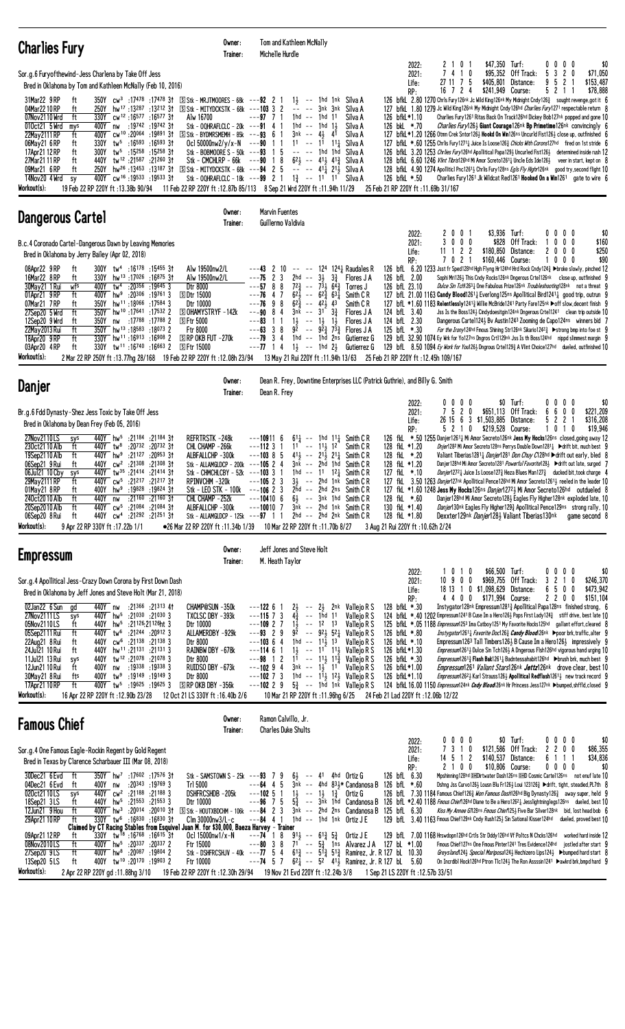| <b>Charlies Fury</b>                                                                                                                                                                                                                                                                                                                                                                                                                                                                                                                                                                                                                                                                                                                                                                                                                                                                                                                                                                                                                                                                                                      | Owner:<br>Trainer:                                                                                                                                                                        | Tom and Kathleen McNally<br>Michelle Hurdle                                                                                                                                                                                                                                                                                                                                                                                                                                                                                                                                                         |                                                                                                                                                                                                                                                                                                                                                                                                                         |                                                                                            |                                                                                                                                                                                         |                                                                              |                                                                            |                                                                               |                                                                                                                                                                                                                                                                                                                                                                                                                                                                                                                                                                                                                                                                                                                                                                                                                                                                                                                                                                                                                                                                                                                                                             |                               |
|---------------------------------------------------------------------------------------------------------------------------------------------------------------------------------------------------------------------------------------------------------------------------------------------------------------------------------------------------------------------------------------------------------------------------------------------------------------------------------------------------------------------------------------------------------------------------------------------------------------------------------------------------------------------------------------------------------------------------------------------------------------------------------------------------------------------------------------------------------------------------------------------------------------------------------------------------------------------------------------------------------------------------------------------------------------------------------------------------------------------------|-------------------------------------------------------------------------------------------------------------------------------------------------------------------------------------------|-----------------------------------------------------------------------------------------------------------------------------------------------------------------------------------------------------------------------------------------------------------------------------------------------------------------------------------------------------------------------------------------------------------------------------------------------------------------------------------------------------------------------------------------------------------------------------------------------------|-------------------------------------------------------------------------------------------------------------------------------------------------------------------------------------------------------------------------------------------------------------------------------------------------------------------------------------------------------------------------------------------------------------------------|--------------------------------------------------------------------------------------------|-----------------------------------------------------------------------------------------------------------------------------------------------------------------------------------------|------------------------------------------------------------------------------|----------------------------------------------------------------------------|-------------------------------------------------------------------------------|-------------------------------------------------------------------------------------------------------------------------------------------------------------------------------------------------------------------------------------------------------------------------------------------------------------------------------------------------------------------------------------------------------------------------------------------------------------------------------------------------------------------------------------------------------------------------------------------------------------------------------------------------------------------------------------------------------------------------------------------------------------------------------------------------------------------------------------------------------------------------------------------------------------------------------------------------------------------------------------------------------------------------------------------------------------------------------------------------------------------------------------------------------------|-------------------------------|
| Sor.g.6 Furyofthewind-Jess Charlena by Take Off Jess<br>Bred in Oklahoma by Tom and Kathleen McNally (Feb 10, 2016)<br>31Mar22 9 RP<br>ft<br>350Y cw <sup>3</sup> :17478:1747831 SStk-MRJTMOORES-68k ---92 2 1<br>04Mar2210RP<br>ft<br>250Y hw <sup>17</sup> :13287:13212 31 Stk - MITYDCKSTK - 68k ---103 3 2<br>07Nov2110 Wrd<br>ft<br>330Y cw <sup>12</sup> :16577:1657731<br>Alw 16700<br>400Y nw :19742 :19742 31<br>010ct21 5 Wrd<br>mys<br>22May 2111 RP<br>400Y cw <sup>10</sup> :20064 :19891 31<br>ft<br>330Y<br>tw <sup>5</sup> :16593 :16593 31<br>06May21 6 RP<br>ft<br>17Apr21 12 RP<br>300Y tw <sup>5</sup> :15258 :15258 31<br>ft<br>27Mar21 11 RP<br>ft<br>440Y tw <sup>12</sup> :21587 :21260 31<br>250Y hw <sup>26</sup> :13453 :13187 31 SStk - MITYDCKSTK - 68k ---94 2 5<br>09Mar21 6 RP<br>ft<br>400Y cw <sup>16</sup> :19533 :19533 31<br>14Nov20 4 Wrd sy<br>Workout(s):<br>19 Feb 22 RP 220Y ft: 13.38b 90/94                                                                                                                                                                                   | Stk - OQHRAFLCLC - 20 $k$ ---91 4 1<br>$\boxed{S}$ Stk - BYDMRSMEMH - 85k ---93 6 1                                                                                                       | $---97$ 7 1<br>1hd -- 1hd 11<br>1hd -- 1hd<br>$3nk$ -- $4\frac{1}{2}$<br>Ocl 50000nw2/y/x-N $--90$ 1 1<br>$11 - - 11$ $11$<br>Stk - BOBMOORE S - 50k ---93 1 5<br>-- -- 1hd 1hd<br>Stk - CMCHLRP - $66k$ --- $90$ 1 8<br>Stk - OQHRAFLCLC - 18 $k$ ---99 2 1<br>11 Feb 22 RP 220Y ft: 12.87b 85/113 8 Sep 21 Wrd 220Y ft: 11.94h 11/29                                                                                                                                                                                                                                                              | $1\frac{1}{2}$ -- 1hd 1nk Silva A<br>-- -- 3nk 3nk Silva A<br>$1\frac{1}{2}$<br>41<br>$62\frac{1}{2}$ -- $41\frac{1}{2}$ $41\frac{3}{2}$ Silva A<br>-- -- 411 211 Silva A<br>$1\frac{3}{4}$ -- 11 11 Silva A                                                                                                                                                                                                            | Silva A<br>Silva A<br>Silva A<br>Silva A<br>Silva A                                        | 2022:<br>2021:<br>Life:<br>RP:<br>126 bfkL*1.10<br>126 bkL *.70<br>126 bfkL *.50                                                                                                        | 2101<br>7 4 1 0<br>27 11 7 5<br>16724<br>25 Feb 21 RP 220Y ft: 11.69b 31/167 | \$47,350 Turf:                                                             | $$95,352$ Off Track:<br>\$405,801 Distance:<br>\$241,949 Course:              | $0\ 0\ 0\ 0$<br>5 3 2 0<br>\$71,050<br>9<br>5 2 1<br>\$153,487<br>\$78,888<br>5 2 1 1<br>126 bfkL 2.80 1270 Chrls Fury126nk Jc Wild King126nk My Midnight Cndy126 $\frac{3}{4}$ sought revenge, got it 6<br>127 bfkl. 1.80 1279 Jc Wild King126nk My Midnight Cndy126hd Charlies Fury1271 respectable return 8<br>Charlies Fury 1261 Ritas Back On Track 126hd Dickey Bob127nk popped and gone 10<br><i>Charlies Fury</i> 126} Giant Courage126nk Bp Primetime126nk convincingly 6<br>127 bfkL *1.20 1266 Otmn Crek Sntor126½ Hookd On Win126ns Uncurld Fist126½ close up, outfinished 6<br>127 bfkl *.60 1255 Chrlis Fury 1271 Unice Is Loose 126 3 Chicks With Corons 127hd fired on 1st stride 6<br>126 bfkL 3.20 1253 Chrlies Fury126hd Apollitical Papa1293 Uncurled Fist1263 determined inside rush 12<br>128 bfkL 6.60 1246 Vlint Tibris126hd Mi Amor Screto1261 <sub>4</sub> Uncle Eds Ide126 <sub>2</sub> veer in start, kept on 8<br>128 bfkl. 4.90 1274 Apolliticl Pnc1261 <sub>3</sub> Chrlis Fury128ns <i>Egls Fly Highr</i> 126nk good try, second flight 10<br>Charlies Fury 1261 Jk Wildcat Red1261 Hooked On a Win1261 gate to wire 6      | \$0                           |
| <b>Dangerous Cartel</b>                                                                                                                                                                                                                                                                                                                                                                                                                                                                                                                                                                                                                                                                                                                                                                                                                                                                                                                                                                                                                                                                                                   | Owner:<br>Trainer:                                                                                                                                                                        | Marvin Fuentes<br>Guillermo Valdivia                                                                                                                                                                                                                                                                                                                                                                                                                                                                                                                                                                |                                                                                                                                                                                                                                                                                                                                                                                                                         |                                                                                            |                                                                                                                                                                                         |                                                                              |                                                                            |                                                                               |                                                                                                                                                                                                                                                                                                                                                                                                                                                                                                                                                                                                                                                                                                                                                                                                                                                                                                                                                                                                                                                                                                                                                             |                               |
| B.c.4 Coronado Cartel-Dangerous Dawn by Leaving Memories<br>Bred in Oklahoma by Jerry Bailey (Apr 02, 2018)<br>08Apr22 9RP<br>ft<br>300Y tw <sup>4</sup> :16178 :15455 31<br>Alw 19500nw2/L<br>16Mar22 8RP<br>hw <sup>13</sup> :17026:16875 3t<br>ft<br>330Y<br>Alw 19500nw2/L<br>30May21 1 Rui<br>tw <sup>4</sup> :20356 :19645 3<br>wfs<br>400Y<br>Dtr 8000<br>01Apr21 9RP<br>400Y hw <sup>9</sup> :20 <sup>306</sup> :19761 3<br><b>SDtr 15000</b><br>ft<br>350Y hw <sup>11</sup> :18066 :17584 3<br>07Mar21 7RP<br>Dtr 10000<br>ft<br>350Y hw <sup>10</sup> :17641 :17532 2<br>27Sep20 5 Wrd<br>ft<br>12Sep20 9 Wrd<br>350Y nw :17788 :17788 2<br>ft<br>$S$ Ftr 5000<br>ft<br>22May 2013 Rui<br>350Y hw <sup>13</sup> :18583:180732<br><b>Ftr 8000</b><br>18Apr20 9RP<br>ft<br>$330Y$ hw <sup>11</sup> :16913:16908 2<br><b>SIRP OKB FUT -270k</b><br>03Apr20 4RP<br>330Y tw <sup>11</sup> :16 <sup>740</sup> :16 <sup>663</sup> 2 SFtr 15000<br>ft<br>Workout(s):<br>2 Mar 22 RP 250Y ft :13.77hg 28/168 19 Feb 22 RP 220Y ft :12.08h 23/94 13 May 21 Rui 220Y ft :11.94h 13/63 25 Feb 21 RP 220Y ft :12.45h 109/167 | <b>SOHAMYSTRYF-142k</b>                                                                                                                                                                   | $---43$ 2 10 $---$ 124 124 Raudales R<br>$---75$ 2 3<br>2hd -- $3\frac{1}{2}$<br>$---57$ 8 8<br>$72\frac{3}{4}$ -- $7\frac{5}{2}$ $6\frac{7}{4}$<br>$---76$ 4 7<br>$62\frac{1}{2}$ -- $62\frac{3}{4}$ $63\frac{1}{4}$<br>$---76$ 9 8<br>$62\frac{5}{4}$ -- $42\frac{1}{2}$ 43<br>$---90$ 8 4<br>$3nk$ -- $31^{\circ} 3\frac{3}{4}$<br>$1\frac{1}{2}$ -- $1\frac{1}{2}$ $1\frac{1}{2}$<br>---83<br>11<br>$---63$ 3 8<br>$---79$ 3 4<br>$---77$ 1 4 1 $\frac{1}{2}$ $---$ 1hd 2 $\frac{1}{2}$ Gutierrez G                                                                                             | $3\frac{3}{4}$<br>$92 - 92\frac{3}{2}73\frac{3}{2}$<br>1hd -- 1hd 2ns Gutierrez G                                                                                                                                                                                                                                                                                                                                       | Flores J A<br>Torres J<br>Smith C R<br>Smith C R<br>Flores J A<br>Flores J A<br>Flores J A | 2022:<br>2021:<br>Life:<br>RP:<br>126 bfL 2.00<br>126 bfL 23.10<br>124 bfL 3.40<br>124 bfL 2.30<br>125 bfL *.30                                                                         | 2001<br>3000<br>$11 \t1 \t2 \t2$<br>7 0 2 1                                  |                                                                            | \$3,936 Turf:<br>\$828 Off Track:<br>\$180,850 Distance:<br>\$160,446 Course: | $0\,0\,0\,0$<br>$0\ 0\ 0$<br>$\mathbf{1}$<br>2000<br>1<br>$0\,$ $0\,$ $0\,$<br>126 bfL 6.20 1233 Jsst fr Sped128hd Hgh Flyng Hr124hd Hrd Rock Cndy124} >broke slowly, pinched 12<br>Sophi Mri126} This Cndy Rocks126nk Dngerous Crte1126nk close up, outfinished 9<br>Dulce Sin Tch12631 One Fabulous Prize126nk Troubleshooting128nk not a threat 9<br>127 bfl. 21.00 1163 Candy Blood1261; Everlong125ns Apollitical Bird1241; good trip, outrun 9<br>127 bfL *1.60 1183 Relentlessly1241 <sub>3</sub> Willie McBride1241 Party Fare125nk ▶off slow, decent finish 9<br>Uss Is the Boss124} Cindydoesitgin124nk Dngerous Crtel1241 clean trip outside 10<br>Dangerous Cartel 1243 By Austin 1243 Zooming de Capo 124ns winners bid 7<br>For the Irony124hd Fmous Shining Str126nk Sikario1242 <sup>3</sup> >strong bmp into foe st 9<br>129 bfl. 32.90 1074 Ey Wrk for Yo127ns Dngros Crt1129nk Jss Is th Boss124hd nippd slimmest margin 9<br>129 bfL 8.50 1094 Ey Work for You1261 Dngrous Crtel1293 A Vlint Choice127hd dueled, outfinished 10                                                                                                         | \$0<br>\$160<br>\$250<br>\$90 |
| <b>Danjer</b>                                                                                                                                                                                                                                                                                                                                                                                                                                                                                                                                                                                                                                                                                                                                                                                                                                                                                                                                                                                                                                                                                                             | Owner:<br>Trainer:                                                                                                                                                                        | Dean R. Frey, Downtime Enterprises LLC (Patrick Guthrie), and Billy G. Smith<br>Dean R. Frey                                                                                                                                                                                                                                                                                                                                                                                                                                                                                                        |                                                                                                                                                                                                                                                                                                                                                                                                                         |                                                                                            |                                                                                                                                                                                         |                                                                              |                                                                            |                                                                               |                                                                                                                                                                                                                                                                                                                                                                                                                                                                                                                                                                                                                                                                                                                                                                                                                                                                                                                                                                                                                                                                                                                                                             |                               |
| Br.g.6 Fdd Dynasty-Shez Jess Toxic by Take Off Jess<br>Bred in Oklahoma by Dean Frey (Feb 05, 2016)<br>27Nov2110LS<br>440Y hw <sup>5</sup> :21184 :21184 31<br>sys<br>230ct21 10 Alb<br>440Y tw <sup>8</sup> :20732 :20732 31<br>ft<br>440Y hw <sup>9</sup> :21127 :20953 31<br>19Sep2110 Alb<br>ft<br>06Sep21 9 Rui<br>440Y cw <sup>2</sup> :21308 :21308 31<br>ft<br>06Jul21 10 Cby<br>440Y tw <sup>35</sup> :21414 :21414 31<br>sys<br>ft<br>440Y cw <sup>5</sup> :21 <sup>217</sup> :21 <sup>217</sup> 31<br>29May 2111 RP<br>01May21 8RP<br>400Y hw <sup>9</sup> :19828 :19824 31<br>ft<br>240ct2010 Alb<br>440Y nw<br>:21160 :21160 3†<br>ft<br>20Sep2010 Alb<br>ft<br>440Y cw <sup>5</sup> :21084 :21084 31<br>06Sep20 8 Rui<br>440Y cw <sup>4</sup> :21 <sup>292</sup> :21 <sup>251</sup> 31<br>ft<br>Workout(s):<br>9 Apr 22 RP 330Y ft: 17.22b 1/1<br>●26 Mar 22 RP 220Y ft:11.34b 1/39                                                                                                                                                                                                                         | REFRTRSTK-248k<br>CHL CHAMP -266k<br>ALBFALLCHP -300k<br>Stk - ALLAMGLDCP - 200k ---105 2 4<br>Stk - CHMCHLCBY - $52k$ ---103 3 1<br>RPINVCHM-320k<br>CHL CHAMP -252k<br>ALBFALLCHP -300k | $---109116$<br>$---112$ 3 1<br>$11 - 11$ , $12$<br>$--103855$<br>3nk -- 2hd 1hd<br>$---10523$<br>Stk - LEO STK - 100k ---106 2 3<br>$---104106$<br>$---10010$ 7<br>Stk - ALLAMGLDCP - 125 $k$ ---97 1 1<br>10 Mar 22 RP 220Y ft: 11.70b 8/27                                                                                                                                                                                                                                                                                                                                                        | $6^{11}$ -- 1hd $1^{11}$ Smith CR<br>$41\frac{1}{2}$ -- $21\frac{1}{2}$ $21\frac{1}{4}$ Smith CR<br>1hd $-$ 11 12 $\frac{1}{4}$ Smith CR<br>$3\frac{1}{2}$ -- 2hd 1nk Smith CR<br>$2hd$ -- $2hd$ $2ns$ Smith $CR$<br>$6\frac{1}{2}$ -- $3nk$ 1hd Smith CR<br>$3nk$ -- $2hd$ 1nk Smith $CR$<br>2hd -- 2hd 2nk Smith CR                                                                                                   | Smith C R<br>Smith C R                                                                     | 2022:<br>2021:<br>Life:<br>RP:<br>128 fkL *1.20<br>128 fkL *.20<br>128 fkL *1.20<br>127 fkL *.10<br>128 fkL *.60<br>130 fkL *1.40<br>128 fkL *1.80<br>3 Aug 21 Rui 220Y ft: 10.62h 2/24 | $0\ 0\ 0\ 0$<br>7520                                                         | 26 15 6 3 \$1,503,885 Distance:<br>5 2 1 0 \$219,528 Course:               | $$0$ Turf:<br>\$651,113 Off Track:                                            | $0\ 0\ 0\ 0$<br>600<br>\$221,209<br>6<br>52<br>\$316,208<br>2 1<br>1 0 1 0<br>\$19,946<br>126 fkL *.50 1255 Danjer12611 Mi Amor Secreto126nk Jess My Hocks126ns closed, going away 12<br><i>Dnjer</i> 128 <sup>2</sup> Mi Amor Secreto128ns Perrys Double Down1281 <sub>4</sub> ▶ drift bit, much best 9<br>Valiant Tiberias1281 <sub>4</sub> Danjer1281 Don Chuy C128hd ▶ drift out early, bled 8<br>Danjer128hd Mi Amor Secreto1281 Powerful Favorite128} ▶ drift out late, surged 7<br><i>Danjer</i> 127 <sup>2</sup> Juice Is Loose 127 Heza Blues Man 127 ducked bit, took charge 4<br>127 fkl 3.50 1263 Danjer127nk Apollitical Pence126hd Mi Amor Secreto12613 reeled in the leader 10<br>127 fkl. *1.60 1248 Jess My Hocks126ns Danjer12723 Mi Amor Secreto126hd outdueled 8<br>Danjer128hd Mi Amor Secreto1283 Eagles Fly Higher128nk exploded late, 10<br>Danjer130nk Eagles Fly Higher1293 Apollitical Pence129ns strong rally, 10<br>Dexxter129nk Danjer1281 Valiant Tiberias130nk game second 8                                                                                                                                                | \$0                           |
| <b>Empressum</b>                                                                                                                                                                                                                                                                                                                                                                                                                                                                                                                                                                                                                                                                                                                                                                                                                                                                                                                                                                                                                                                                                                          | Owner:<br>Trainer:                                                                                                                                                                        | Jeff Jones and Steve Holt<br>M. Heath Taylor                                                                                                                                                                                                                                                                                                                                                                                                                                                                                                                                                        |                                                                                                                                                                                                                                                                                                                                                                                                                         |                                                                                            |                                                                                                                                                                                         |                                                                              |                                                                            |                                                                               |                                                                                                                                                                                                                                                                                                                                                                                                                                                                                                                                                                                                                                                                                                                                                                                                                                                                                                                                                                                                                                                                                                                                                             |                               |
| Sor.g.4 Apollitical Jess-Crazy Down Corona by First Down Dash<br>Bred in Oklahoma by Jeff Jones and Steve Holt (Mar 21, 2018)<br>02Jan22 6 Sun<br>440Y nw<br>:21366 :21313 41<br>gd<br>440Y hw <sup>5</sup> :21030 :21030 3<br>27Nov2111LS<br>sys<br>Dtr 10000<br>05Nov2110LS<br>ft<br>440Y hw <sup>5</sup> :21126:21126ht 3<br>ft<br>440Y tw <sup>6</sup> :21244 :20912 3<br>05Sep2111 Rui<br>440Y cw <sup>6</sup> :21138 :21138 3<br>22Aug21 8 Rui<br>ft<br>Dtr 8000<br>24Jul21 10 Rui<br>440Y hw <sup>11</sup> :21131 :21131 3<br>ft<br>440Y tw <sup>12</sup> :21078 :21078 3<br>11Jul21 13 Rui<br>Dtr 8000<br>sys<br>12Jun21 10 Rui<br>400Y nw :19338 :19338 3<br>ft<br>400Y tw <sup>9</sup> :19149 :19149 3<br>30May21 8 Rui<br>fts<br>Dtr 8000<br>ft<br>400Y tw <sup>5</sup> :19625 :19625 3<br>$S$ RP OKB DBY $-356k$<br>17Apr21 10 RP<br>Workout(s):<br>16 Apr 22 RP 220Y ft: 12.90b 23/28<br>12 Oct 21 LS 330Y ft: 16.40b 2/6                                                                                                                                                                                    | CHAMP@SUN -350k<br>TXCLSC DBY -393k<br>ALLAMERDBY -929k<br>RAINBW DBY -678k<br>RUIDSO DBY -673k                                                                                           | $---122$ 6 1<br>21<br>$--115$ 7 3<br>$4\frac{3}{4}$<br>$---109$ 2 7<br>$1\frac{1}{2}$<br>$---93$ 2 9<br>$---103$ 6 4<br>1hd -- $11\overline{3}$ 13<br>$---11461$<br>$---98$ 1 2<br>$---10294$<br>$3nk$ -- $1\frac{1}{2}$ 11<br>$---102$ 7 3<br>$---102$ 2 9<br>10 Mar 21 RP 220Y ft: 11.96hg 6/25 24 Feb 21 Lad 220Y ft: 12.06b 12/22                                                                                                                                                                                                                                                               | $-$ 2 $\frac{1}{2}$ 2nk Vallejo R S<br>-- 1ĥd 11<br>-- 12 13<br>$9^{\frac{1}{2}}$ -- $9^{\frac{1}{2}}$ $5^{\frac{1}{4}}$ Vallejo R S<br>$1\frac{1}{2}$ -- 1 <sup>1</sup> 1 <sup>1</sup> / <sub>2</sub> Vallejo R S<br>$1^{\overline{1}}$ -- $1^{\overline{1}\overline{2}}$ $1^{\overline{2}}$ Vallejo R S<br>1hd -- $1^{\overline{1}\frac{1}{2}}$ 12 $\frac{1}{2}$ Vallejo R S<br>$5\frac{3}{4}$ -- 1hd 1nk Vallejo R S | Vallejo R S<br>Vallejo R S<br>Vallejo R S<br>Vallejo R S                                   | 2022:<br>2021:<br>Life:<br>RP:<br>128 bfkL *.30<br>126 bfkL *.80<br>126 bfkL *.10<br>126 bfkL*1.30<br>126 bfkL *.30<br>126 bfkL*1.00<br>126 bfkL*1.10                                   | 1010<br>10900                                                                | 18 13 1 0 \$1,098,629 Distance:<br>4 4 0 0 \$171,994 Course:               | \$66,500 Turf:<br>\$969,755 Off Track:                                        | $0\ 0\ 0\ 0$<br>3 2 1 0<br>\$246,370<br>6500<br>\$473,942<br>2200<br>\$151,104<br>Instygator128nk Empressum12813 Apollitical Papa128ns finished strong, 6<br>124 bfkL *.40 1202 Empressum 1241 B Cuse Im a Hero1263 Pops First Lady 1243 stiff drive, best late 10<br>125 bfkL *.05 1188 Empressum1253 Ima Catboy1251 My Favorite Hocks125hd gallant effort, cleared 8<br><i>Instygator</i> 1261 <sub>4</sub> <i>Favorite Doc</i> 126 <sub>4</sub> <i>Candy Blood</i> 126nk ▶poor brk, traffic, alter 9<br>Empressum1263 Tall Timbers1263 B Cause Im a Hero1263 impressively 9<br><i>Empressum</i> 126 <sup>1</sup> } Dulce Sin Tch 126 <sup>1</sup> A Dngerous Flsh 126hd vigorous hand urging 10<br><i>Empressum</i> 1261 <sub>3</sub> Flash Bak1261 <sub>4</sub> Badntessahabit126hd → brush brk, much best 9<br>Empressum1261 Valiant Stars126nk Jettz126nk drove clear, best 10<br><i>Empressum</i> 126 <sup>2</sup> } Karl Strauss126 <sup>1</sup> <b>Apollitical Redflash</b> 126 <sup>1</sup> <sup>1</sup> new track record 9<br>124 bfkL 16.00 1150 <i>Empressum</i> 124nk <i>Cndy Blood</i> 126nk Hr Princess Jess 127nk Dumped, shffld, closed 9 | \$0                           |
| <b>Famous Chief</b>                                                                                                                                                                                                                                                                                                                                                                                                                                                                                                                                                                                                                                                                                                                                                                                                                                                                                                                                                                                                                                                                                                       | Owner:<br>Trainer:                                                                                                                                                                        | Ramon Calvillo, Jr.<br><b>Charles Duke Shults</b>                                                                                                                                                                                                                                                                                                                                                                                                                                                                                                                                                   |                                                                                                                                                                                                                                                                                                                                                                                                                         |                                                                                            |                                                                                                                                                                                         |                                                                              |                                                                            |                                                                               |                                                                                                                                                                                                                                                                                                                                                                                                                                                                                                                                                                                                                                                                                                                                                                                                                                                                                                                                                                                                                                                                                                                                                             |                               |
| Sor.g.4 One Famous Eagle-Rockin Regent by Gold Regent<br>Bred in Texas by Clarence Scharbauer III (Mar 08, 2018)<br>350Y hw <sup>7</sup> :17602 :17576 3t<br>30Dec21 6Evd ft<br>04Dec21 6 Evd<br>:20343 :19769 3<br>ft<br>400Y nw<br>Tr1 5000<br>020ct2110LS<br>21188 3 21188 21188 3<br>sys<br>18Sep21 3LS<br>440Y hw <sup>5</sup> :21553 :21553 3<br>ft<br>Dtr 10000<br>12Jun21 9 Hou<br>ft<br>400Y hw <sup>3</sup> :20 <sup>014</sup> :20 <sup>010</sup> 31<br>330Y tw <sup>6</sup> :16830 :16830 31<br>29Apr21 10 RP<br>ft<br>Claimed by CT Racing Stables from Esquivel Juan M. for \$30,000, Baeza Harvey - Trainer<br>09Apr21 12 RP<br>330Y tw <sup>18</sup> :16 <sup>768</sup> :16 <sup>615</sup> 31<br>ft<br>08Nov2010LS<br>ft<br>400Y hw <sup>5</sup> :20 <sup>337</sup> :20 <sup>337</sup> 2<br>Ftr 15000<br>27Sep20 9LS<br>ft<br>19804 2 19804 W 100Y hw <sup>8</sup> :20087<br>400Y tw <sup>10</sup> :20170:19903 2<br>13Sep20 5LS<br>Ftr 10000<br>ft<br>Workout(s):<br>2 Apr 22 RP 220Y gd: 11.88hg 3/10                                                                                                    | DSHFRCSHDB-205k<br>$C$ lm 30000nw3/L-c<br>Ocl $15000$ nw $1/x - N$                                                                                                                        | Stk - SAMSTOWN S - 25 $k$ ---93 7 9<br>$--64$ 4 5<br>$---10251$<br>$--96$ 7 5<br>SStk - HOUTXBDCHM - 106k ---84 2 3 3nk -- 2hd 2ns Candanosa B 125 bfL 6.30<br>$---84$ 4 1<br>$---74$ 1 8 $91\frac{1}{2}$ $---61\frac{3}{4}$ $5\frac{3}{4}$ Ortiz J E<br>$---80$ 3 8 71 $---5\frac{3}{4}$ 1ns Alvarez JA 127 bL *1.00<br>Stk - DSHFRCSHJV - 40k ---77 5 4 $61\frac{3}{4}$ -- $5\frac{73}{4}$ 51 $\frac{3}{4}$ Ramirez, Jr. R 127 bl 10.30<br>$---74$ 5 7 $62\frac{1}{4}$ -- $52$ $41\frac{1}{2}$ Ramirez, Jr. R 127 bL 5.60<br>19 Feb 22 RP 220Y ft: 12.30h 29/94 19 Nov 21 Evd 220Y ft: 12.24b 3/8 | $6\frac{1}{2}$ -- 41 4hd Ortiz G<br>$1\frac{1}{2}$ -- $1\frac{1}{2}$ $1\frac{3}{4}$ Ortiz G<br>1hd -- 1hd 1nk Ortiz J E                                                                                                                                                                                                                                                                                                 | $3\bar{m}k$ -- 4hd $83\frac{1}{2}$ Candanosa B 126 bfl *.60                                | 2022:<br>2021:<br>Life:<br>RP:<br>126 bfL 6.30<br>1 Sep 21 LS 220Y ft: 12.57b 33/51                                                                                                     | $0\,0\,0\,0$<br>7 3 1 0<br>14 5 1 2<br>2 1 0 0                               | 129 bfL 7.00 1168 Hrswdopn126hd Crtls Str Dddy126hd Vf Poltcs N Chcks126hd | \$0 Turf:<br>\$121,586 Off Track:<br>\$140,537 Distance:<br>\$10,806 Course:  | $0\,0\,0\,0$<br>2 2 0 0<br>\$86,355<br>\$34,836<br>6 1 1 1<br>$0\ 0\ 0\ 0$<br>Mpshinning128hd DHDirtwater Dash126ns DHD Cosmic Cartel126ns not enuf late 10<br>Dshng Jss Curvo126} Lousn Blu Fr126} Loui 123126} ▶ drift, tight, steadied, PL7th 8<br>126 bfL 7.30 1184 Famous Chief1263 Won Famous Dash126hd Big Dynasty1263 away super, held 9<br>5 <sup>5</sup> / <sub>2</sub> -- 3nk 1nd Candanosa B 126 bfL *2.40 1188 <i>Fmous Chief</i> 126hd Diane to Be a Hero1262 Jesslightninglegs126ns dueled, best 10<br>Kiss My Annee G/128ns Fmous Chief125} Five Bar Silver128nk bid, lost head bob 6<br>129 bfl 3.40 1163 Fmous Chief129nk Cndy Rush125} Sin Sational Kisser124hd dueled, proved best 10<br>worked hard inside 12<br>Fmous Chief127ns One Fmous Pinter1241 Tres Evidence124hd jostled after start 9<br>Greysland 24} Special Mariposa124} Hechizero Lips124} ► bumped hard start 8<br>On Incrdibl Hock126hd Ptron Tlc1243 The Ron Assssin1241 ▶awkrd brk, bmpd hard 9                                                                                                                                                                      | \$0<br>\$0                    |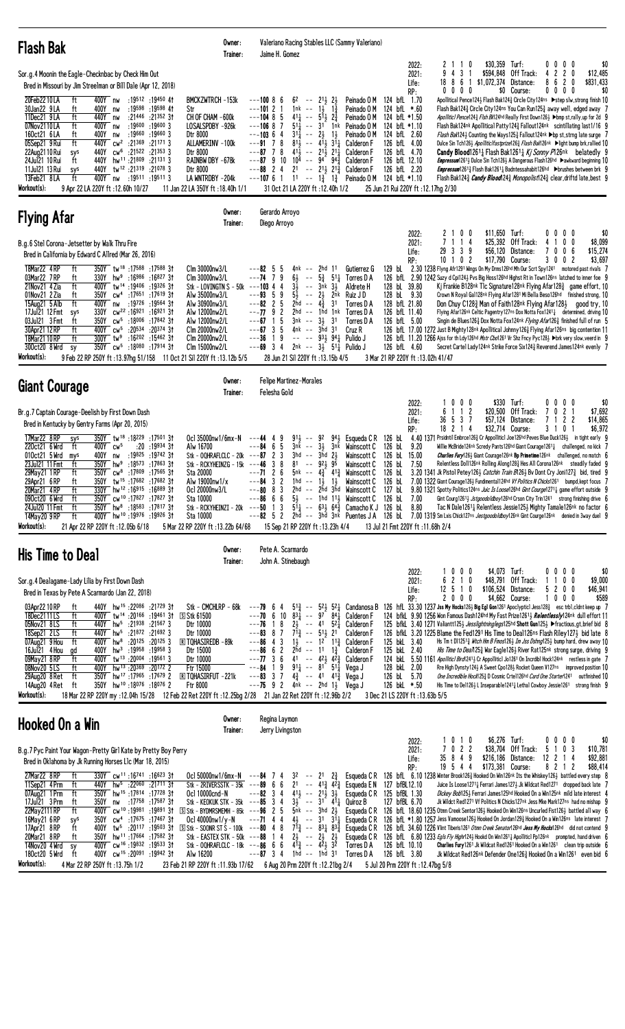| <b>Flash Bak</b>                                                                                                                                                                                                                                                                                                                                                                                                                                                                                                                                                                                                                                                                                                                                                                                                                                                                                                                                                                                                                                                                     | Owner:<br>Trainer:                                                                                                                                                                | Valeriano Racing Stables LLC (Sammy Valeriano)<br>Jaime H. Gomez                                                                                                                                                                                                                                                                                                                                                                                                                                                                                                                 |                                                                                                                                                                                                                                                                                                                   |                                                                                                                                                                                                                                                       |                                                                                                      |                                                                                                                                                                                                                                                                                                                                                                                                                                                                                                                                                                                                                                                                                                                                                                                                                                                                                                                                                                                                                                                                                                                                                                                                                                                                                                           |
|--------------------------------------------------------------------------------------------------------------------------------------------------------------------------------------------------------------------------------------------------------------------------------------------------------------------------------------------------------------------------------------------------------------------------------------------------------------------------------------------------------------------------------------------------------------------------------------------------------------------------------------------------------------------------------------------------------------------------------------------------------------------------------------------------------------------------------------------------------------------------------------------------------------------------------------------------------------------------------------------------------------------------------------------------------------------------------------|-----------------------------------------------------------------------------------------------------------------------------------------------------------------------------------|----------------------------------------------------------------------------------------------------------------------------------------------------------------------------------------------------------------------------------------------------------------------------------------------------------------------------------------------------------------------------------------------------------------------------------------------------------------------------------------------------------------------------------------------------------------------------------|-------------------------------------------------------------------------------------------------------------------------------------------------------------------------------------------------------------------------------------------------------------------------------------------------------------------|-------------------------------------------------------------------------------------------------------------------------------------------------------------------------------------------------------------------------------------------------------|------------------------------------------------------------------------------------------------------|-----------------------------------------------------------------------------------------------------------------------------------------------------------------------------------------------------------------------------------------------------------------------------------------------------------------------------------------------------------------------------------------------------------------------------------------------------------------------------------------------------------------------------------------------------------------------------------------------------------------------------------------------------------------------------------------------------------------------------------------------------------------------------------------------------------------------------------------------------------------------------------------------------------------------------------------------------------------------------------------------------------------------------------------------------------------------------------------------------------------------------------------------------------------------------------------------------------------------------------------------------------------------------------------------------------|
| Sor.g.4 Moonin the Eagle-Checknbac by Check Him Out<br>Bred in Missouri by Jim Streelman or Bill Dale (Apr 12, 2018)<br>19450 19451: 19512.<br><b>BMCKZWTRCH -153k</b><br>20Feb2210LA<br>ft<br>400Y nw<br>30Jan22 9LA<br>:19598 :19598 41<br>ft<br>400Y<br>Str<br>nw<br>ft<br>11Dec21 9LA<br>440Y nw<br>:21446 :21352 31<br>CH OF CHAM -600k<br>$:19600$ $:196003$<br>ft<br>LOSALSPDBY -926k<br>07Nov2110LA<br>400Y nw<br>160ct21 6LA<br>:19660 :19660 3<br>ft<br>400Y<br>Dtr 8000<br>nw<br>ft<br>440Y cw <sup>2</sup> :21369<br>:21171 3<br>ALLAMERINV -100k<br>05Sep21 9 Rui<br>22Aug2110 Rui<br>$cw6$ :21522 :21353 3<br>440Y<br>Dtr 8000<br>sys<br>24Jul21 10 Rui<br>440Y hw <sup>11</sup> :21809 :21131 3<br>RAINBW DBY -678k<br>ft<br>440Y tw <sup>12</sup> :21319 :21078 3<br>11Jul21 13 Rui<br>Dtr 8000<br>sys<br>LA WNTRDBY -204k<br>13Feb21 8LA<br>ft<br>400Y nw<br>19511; 19511;<br>Workout(s):<br>9 Apr 22 LA 220Y ft: 12.60h 10/27<br>11 Jan 22 LA 350Y ft: 18.40h 1/1                                                                                                  | Owner:                                                                                                                                                                            | $---10086$<br>$6^2$ -- $2^{11}$ , $2^{1}$<br>$---10121$<br>1nk --<br>$---10485$<br>411<br>$--\frac{51\frac{1}{2}}{2\frac{3}{4}}$<br>$5^{11}$<br>$---10687$<br>$---103$ 6 4<br>$31\frac{1}{4}$<br>$- - 2\frac{1}{2}$<br>$81\frac{1}{2}$ -- $4\overline{1}$ , $3\overline{1}$<br>$---91$ 7 8<br>8<br>$41\frac{1}{2}$ -- $21\frac{1}{2}$ $21\frac{1}{4}$<br>---87<br>7<br>$---87$ 9 10 10 <sup>4</sup> $---$ 9 <sup>4</sup> 9 <sup>43</sup> / <sub>4</sub><br>$---88224$<br>$---10761$<br>$11 - 1\frac{3}{4}$ $1\frac{3}{4}$<br>31 Oct 21 LA 220Y ft : 12.40h 1/2<br>Gerardo Arroyo | Peinado 0 M<br>$1\frac{1}{2}$ $1\frac{3}{4}$<br>Peinado 0 M<br>Peinado 0 M<br>$--$ 31 1nk<br>Peinado 0 M<br>$1\frac{1}{2}$<br>Peinado 0 M<br>Calderon F<br>Calderon F<br>Calderon F<br>21 -- 211, 21 <sup>3</sup> Calderon F                                                                                      | 2022:<br>2021:<br>Life:<br>RP:<br>124 bfL 1.70<br>124 bfL *.60<br>124 bfL *1.50<br>124 bfL *1.10<br>124 bfL 2.60<br>126 bfL 4.00<br>126 bfL 4.70<br>126 bfL 12.10<br>126 bfL 2.20<br>Peinado 0 M 124 bfL *1.10<br>25 Jun 21 Rui 220Y ft: 12.17hg 2/30 | \$30,359 Turf:<br>2 1 1 0<br>9<br>4 3<br>\$594,848<br>18 8 6 1 \$1,072,374 Distance:<br>0<br>00<br>0 | \$0<br>0000<br>Off Track:<br>220<br>\$12,485<br>4<br>8<br>6 2 0<br>\$831,433<br>$0\ 0\ 0$<br>\$0<br>\$0 Course:<br>0<br>Apollitical Pence124½ Flash Bak124¾ Circle City124ns ▶ step slw, strong finish 10<br>Flash Bak1243 Circle City124ns You Can Run1253 away well, edged away 7<br>Apollitic1 Pence124½ Flsh Bk124hd Really First Down126½ ▶bmp st,rally,up for 2d 9<br>Flash Bak124nk Apollitical Patty124 $\frac{3}{4}$ Fallout124nk scintillating last1/16 9<br>Flash Bak1243 Counting the Ways1253 Fallout124nk > bp st, strng late surge 7<br>Dulce Sin Tch126} Apolliticlfastprize126 $\frac{3}{4}$ Flash Bak126nk $\blacktriangleright$ light bump brk, rallied 10<br>Candy Blood12614 Flash Bak12614 Ki Sonny P126nk belatedly 9<br>Empressum12613 Dulce Sin Tch1263 A Dangerous Flash126hd >awkward beginning 10<br><b>Empressum</b> 1261 <sup>3</sup> / <sub>4</sub> Flash Bak1261 <sup>1</sup> / <sub>4</sub> Badntessahabit126hd > brushes between brk 9<br>Flash Bak1243 <i>Candy Blood</i> 243 <i>Monopolist</i> 1243 clear, driftd late, best 9                                                                                                                                                                                                                                        |
| <b>Flying Afar</b>                                                                                                                                                                                                                                                                                                                                                                                                                                                                                                                                                                                                                                                                                                                                                                                                                                                                                                                                                                                                                                                                   | Trainer:                                                                                                                                                                          | Diego Arroyo                                                                                                                                                                                                                                                                                                                                                                                                                                                                                                                                                                     |                                                                                                                                                                                                                                                                                                                   | 2022:                                                                                                                                                                                                                                                 | \$11,650 Turf:<br>0 <sub>0</sub><br>2<br>-1<br>7114                                                  | \$0<br>$0\,0\,0\,0$<br>\$25,392 Off Track:<br>4 1 0 0<br>\$8,099                                                                                                                                                                                                                                                                                                                                                                                                                                                                                                                                                                                                                                                                                                                                                                                                                                                                                                                                                                                                                                                                                                                                                                                                                                          |
| B.g.6 Stel Corona-Jetsetter by Walk Thru Fire<br>Bred in California by Edward C Allred (Mar 26, 2016)<br>18Mar22 4RP<br>ft<br>350Y tw <sup>18</sup> :17588:1758831<br>Clm 30000nw3/L<br>03Mar22 7RP<br>330Y hw <sup>9</sup> :16986 :16827 31<br>Clm 30000nw3/L<br>ft<br>ft<br>400Y tw <sup>14</sup> :19406:19326 3t<br>21 Nov 21 4 Zia<br>350Y cw <sup>4</sup> :17651 :17619 31<br>Alw 35000nw3/L<br>01Nov21 2 Zia<br>ft<br>15Aug21 5 Alb<br>ft<br>400Y nw<br>:19726 :19564 3†<br>Alw 30900nw3/L<br>17Jul21 12 Fmt<br>330Y<br>cw <sup>22</sup> :16921:1692131<br>Alw 12000nw2/L<br>sys<br>03Jul21 3 Fmt<br>350Y cw <sup>5</sup> :18006 :17842 31<br>ft<br>Alw 12000nw2/L<br>$:20374$ 31<br>30Apr21 12 RP<br>ft<br>400Y cw <sup>5</sup> :20534<br>Clm 20000nw2/L<br>18Mar21 10 RP<br>ft<br>$300Y$ tw <sup>9</sup> :16 <sup>202</sup> :15462 31<br>Clm 20000nw2/L<br>350Y cw <sup>5</sup> :18080 :17914 31<br>300ct20 8 Wrd<br>sy<br>Clm 15000nw2/L<br>Workout(s):<br>9 Feb 22 RP 250Y ft: 13.97hg 51/158 11 Oct 21 Sil 220Y ft: 13.12b 5/5                                            | Stk - LOVINGTN S - 50k ---103 4 4                                                                                                                                                 | $---82 \quad 5$<br>5<br>4nk --<br>$---74$ 7<br>$6\frac{1}{2}$<br>9<br>$\sim$ $-$<br>31<br>$\sim$ $-$<br>9<br>$---93.5$<br>$5\frac{1}{2}$<br>$- - 2\frac{1}{2}$<br>5<br>$2\bar{h}d$ -- $4\bar{3}$<br>$---82$ 2<br>$\overline{\mathbf{c}}$<br>$---779$<br>$2hd$ -- $1hd$ $1nk$<br>$---67$ 1<br>-5<br>3nk -- 3½<br>$--67$ 3 5<br>4nk -- 3hd 31<br>9<br>---36<br>-1<br>$---69$ 3 4<br>28 Jun 21 Sil 220Y ft : 13.15b 4/5                                                                                                                                                             | $2hd$ 11<br>Gutierrez G<br>$5\frac{3}{4}$<br>$5^{11}$ Torres D A<br>3nk 31<br>Aldrete H<br>2nk<br>Ruiz J D<br>3 <sup>1</sup><br>Torres D A<br>Torres D A<br>3 <sup>1</sup><br>Torres D A<br>Cruz R<br>$--- 9339942$ Pulido J<br>$2nk$ -- $3\frac{1}{2}$ $51\frac{1}{4}$ Pulido J                                  | 2021:<br>Life:<br>RP:<br>129 bL<br>128 bL 39.80<br>128 bL 9.30<br>128 bfL 21.80<br>126 bfL 11.40<br>126 bfL 5.00<br>126 bfL 4.60<br>3 Mar 21 RP 220Y ft : 13.02h 41/47                                                                                | 29 3 3 9<br>$10 \t1 \t0 \t2$<br>\$17,790 Course:                                                     | \$56,120 Distance:<br>\$15,274<br>7006<br>3002<br>\$3,697<br>2.30 1238 Flyng Afr1291 Wings On My Drms126hd Mh Our Scrt Spy1241 motored past rivals 7<br>126 bfl 2.90 1242 Suzy d Cpi1243 Pvs Big Hoss126hd Highst Rt in Town126ns latched to inner foe 9<br>Ki Frankie B128nk Tlc Signature128nk Flying Afar128 <sup>3</sup> game effort, 10<br>Crown N Royal Gal128nk Flying Afar1281 Mi Bella Beso126hd finished strong, 10<br>Don Chuy C1283 Man of Faith128nk Flying Afar1283 good try, 10<br>Flying Afar126nk Celtic Pagentry127ns Dox Notta Fox1241 <sub>4</sub> determined, driving 10<br>Singin de Blues1263 Dox Notta Fox124nk Flying Afar1263 finished full of run 5<br>126 bfL 17.00 1272 Just B Mighty 128nk Apollitical Johnny 1263 Flying Afar126ns big contention 11<br>126 bfL 11.20 1266 Ajss for th Ldy126hd Mstr Cbo1261 Vr Shz Fncy Pyc128} > brk very slow, veerd in 9<br>Secret Cartel Lady124nk Strike Force Six1243 Reverend James124nk evenly 7                                                                                                                                                                                                                                                                                                                                  |
| <b>Giant Courage</b>                                                                                                                                                                                                                                                                                                                                                                                                                                                                                                                                                                                                                                                                                                                                                                                                                                                                                                                                                                                                                                                                 | Owner:<br>Trainer:                                                                                                                                                                | Felipe Martinez-Morales<br>Felesha Gold                                                                                                                                                                                                                                                                                                                                                                                                                                                                                                                                          |                                                                                                                                                                                                                                                                                                                   |                                                                                                                                                                                                                                                       |                                                                                                      |                                                                                                                                                                                                                                                                                                                                                                                                                                                                                                                                                                                                                                                                                                                                                                                                                                                                                                                                                                                                                                                                                                                                                                                                                                                                                                           |
| Br.g.7 Captain Courage-Deelish by First Down Dash<br>Bred in Kentucky by Gentry Farms (Apr 20, 2015)<br>17Mar22 8RP<br>350Y tw <sup>18</sup> :18 <sup>229</sup> :1750131<br>sys<br>Oc1 35000nw1/6mx-N<br>220ct21 6 Wrd<br>ft<br>400Y cw <sup>5</sup><br>: 20 : 19934 31<br>Alw 16700<br>010ct21 5 Wrd<br>400Y nw :19825 :19742 31<br>mys<br>350Y hw <sup>9</sup> :18573 :17863 31<br>23Jul21 11 Fmt<br>ft<br>ft<br>350Y cw <sup>8</sup> :17809 :17565 31<br>29May21 1 RP<br>Sta 20000<br>350Y tw <sup>15</sup> :17682:1768231<br>29Apr21 6RP<br>ft<br>Alw 19000nw1/x<br>330Y hw <sup>12</sup> :16915:16889 31<br>Ocl 20000nw3/L<br>20Mar21 4RP<br>ft<br>350Y cw <sup>10</sup> :17827 :17827 31<br>090ct20 6 Wrd<br>ft<br>Sta 10000<br>350Y hw <sup>8</sup> :18583 :17817 31<br>24Jul20 11 Fmt<br>ft<br>Stk - RCKYHEINZI - 20k<br>400Y hw <sup>10</sup> :19976:19926.31<br>Sta 10000<br>14May20 9RP<br>ft<br>Workout(s):<br>5 Mar 22 RP 220Y ft : 13.22b 64/68<br>21 Apr 22 RP 220Y ft:12.05b 6/18                                                                                    | Stk - OQHRAFLCLC - 20 $k$ ---87 2 3<br>Stk - RCKYHEINZG - 15k ---46 3 8                                                                                                           | $---4444$<br>9<br>$91\frac{1}{2}$ -- $92$<br>5<br>$---84$ 6<br>3nk -- 3½ 3nk<br>$3hd$ -- $3hd$<br>81<br>-- 921, 95<br>$---71$ 2 6<br>$---84$ 3 2<br>1hd $--$ 1 $\frac{1}{2}$<br>$---80$<br>-3<br>8<br>6<br>---86 6<br>---50<br>3<br>- 1<br>15 Sep 21 RP 220Y ft : 13.23h 4/4                                                                                                                                                                                                                                                                                                     | 943 Esqueda C R<br>Wainscott C<br>2 <sub>3</sub><br><b>Wainscott C</b><br>Wainscott C<br>5nk -- $4\frac{3}{4}$ $41\frac{3}{4}$ Wainscott C<br>$1\frac{1}{2}$<br>Wainscott C<br>2hd -- 2hd 3hd Wainscott C<br>$5\frac{1}{2}$ -- 1hd 11, Wainscott C<br>$5^{11}$ -- $6^{31}$ $6^{4}$ Camacho K J 126 bL 8.80        | 2022:<br>2021:<br>Life:<br>RP:<br>126 bL<br>126 bL<br>9.20<br>126 bL<br>15.00<br>7.50<br>126 bL<br>126 bL<br>126 bL<br>126 bL 7.00<br>13 Jul 21 Fmt 220Y ft : 11.68h 2/4                                                                              | $0\ 0\ 0$<br>\$330 Turf:<br>1 1 2<br>6<br>36 5 3 7<br>18 2 1 4<br>\$32,714 Course:                   | $0\,0\,0\,0$<br>\$0<br>\$20,500 Off Track:<br>2 <sub>1</sub><br>\$7,692<br>7<br>0<br>7 1 2 2<br>\$57,124 Distance:<br>\$14,865<br>3 1 0 1<br>\$6,972<br>4.40 1371 Prsidntil Embrce 126 $\frac{3}{4}$ Cr Appollitic1 Joe 126hd Peves Blue Duck 126 $\frac{1}{2}$ in tight early 9<br>Willie McBride124nk Scredy Pants126hd Giant Courage12611 challenged, no kick 7<br><b>Charlies Fury</b> 126 <sub>2</sub> Giant Courage126 <sup>nk</sup> Bp Primetime126 <sup>nk</sup> challenged, no match 6<br>Relentless Doll126nk Rolling Along1283 Hes All Corona126nk steadily faded 9<br>3.20 1341 Jk Pistol Petey 1263 Catchin Train B1263 By Dont Cry Joni1273 bid, tired 9<br>7.00 1322 Giant Courage126½ Fundimenta1124hd <i>Vf Politics N Chicks</i> 1261 bumpd, kept focus 7<br>127 bl. 9.80 1321 Spotty Politics124ns <i>Juic Is Loose</i> 126hd <i>Gint Courge</i> 1271 <sub>4</sub> game effort outside 9<br>Gint Courg1261 <sub>2</sub> Jstgoodoldboy126hd Crson City Trin1241 strong finishing drive 6<br>Tac N Dale1261; Relentless Jessie125; Mighty Tamale126nk no factor 6<br>---82 5 2 2hd -- 3hd 3nk Puentes J A 126 bl 7.00 1319 Sm Lxis Chick127ns Jestgoodoldboy126nk Gint Courge126nk denied in 3way duel 9                                                                                 |
| <b>His Time to Deal</b>                                                                                                                                                                                                                                                                                                                                                                                                                                                                                                                                                                                                                                                                                                                                                                                                                                                                                                                                                                                                                                                              | Owner:<br>Trainer:                                                                                                                                                                | Pete A. Scarmardo<br>John A. Stinebaugh                                                                                                                                                                                                                                                                                                                                                                                                                                                                                                                                          |                                                                                                                                                                                                                                                                                                                   |                                                                                                                                                                                                                                                       |                                                                                                      |                                                                                                                                                                                                                                                                                                                                                                                                                                                                                                                                                                                                                                                                                                                                                                                                                                                                                                                                                                                                                                                                                                                                                                                                                                                                                                           |
| Sor.g.4 Dealagame-Lady Lilia by First Down Dash<br>Bred in Texas by Pete A Scarmardo (Jan 22, 2018)<br>03Apr22 10 RP<br>440Y hw <sup>15</sup> :22086:21729 31<br>Stk - CMCHLRP - 68k<br>ft<br>400Y tw <sup>14</sup> :20 <sup>166</sup> :1946131<br>18Dec2111LS<br>ft<br><u>ි</u> Stk 61500<br>05Nov21 8LS<br>440Y hw <sup>5</sup> :21938 :21567 3<br>Dtr 10000<br>ft<br>18Sep21 2LS<br>ft<br>440Y hw <sup>5</sup> :21872 :21692 3<br>Dtr 10000<br>07Aug21 9 Hou<br>ft<br>20125 :20125 400Y hw <sup>8</sup> :20125<br><b>RE TOHASIREDB -89k</b><br>400Y $hw^3$ :19958 :19958 3<br>16Jul21 4 Hou<br>Dtr 15000<br>gd<br>09May21 8RP<br>400Y tw <sup>13</sup> :20004 :19561 3<br>ft<br>Dtr 10000<br>hw <sup>13</sup> :20369:201722<br>08Nov20 5LS<br>ft<br>Ftr 15000<br>400Y<br>350Y hw <sup>17</sup> :17965:17679 2<br>29Aug20 8 Ret<br>ft<br><b>Relations TOHASIRFUT -221k</b><br>350Y hw <sup>10</sup> :18076:180762<br>14Aug20 4 Ret<br>ft<br>Ftr 8000<br>Workout(s):<br>18 Mar 22 RP 220Y my : 12.04h 15/28 12 Feb 22 Ret 220Y ft : 12.25bg 2/28 21 Jan 22 Ret 220Y ft : 12.96b 2/2 |                                                                                                                                                                                   | $---79$ 6 4<br>$---70$ 6 10<br>$2\frac{1}{2}$ -- 41<br>$---76$ 1 8<br>$--83$ 8 7<br>$7\overline{1}$ $\overline{4}$ -- $5\overline{1}$ $\overline{2}$ 21<br>$---86$ 4 3<br>$---86662$<br>2hd -- 11 1 $\frac{3}{7}$<br>$---7736$<br>$41 - 42\frac{1}{2}42\frac{3}{4}$<br>$---84$ 1 9<br>$-$ -83 3 7 4 $\frac{3}{4}$ -- 41 41 $\frac{3}{4}$ Vega J<br>--- <b>75</b> 9 2 4nk -- 2hd 1½ Vega J                                                                                                                                                                                        | $5^{13}$ -- $5^{21}$ $5^{21}$ Candanosa B<br>$83\frac{1}{4}$ -- $97$ $84\frac{1}{4}$ Calderon F<br>521 Calderon F<br><b>Calderon F</b><br>$1\frac{1}{2}$ -- 1 <sup>2</sup> 1 <sup>1</sup> $\frac{3}{4}$ Calderon F<br><b>Calderon F</b><br>Calderon F<br>$9^{11}$ -- $8^{1}$ 5 <sup>1</sup> / <sub>4</sub> Vega J | 2022:<br>2021:<br>Life:<br>RP:<br>125 bkL 3.40<br>125 bkL 2.40<br>128 bkL 2.00<br>126 bL 5.70<br>126 bkL *.50<br>3 Dec 21 LS 220Y ft: 13.63b 5/5                                                                                                      | \$4,073 Turf:<br>1000<br>2 1 0<br>6<br>$12 \t5 \t1 \t0$<br>\$106,524 Distance:<br>2000               | \$0<br>$0\,0\,0\,0$<br>\$48,791 Off Track:<br>100<br>-1<br>\$9,000<br>5 2 0 0<br>\$46,941<br>\$4,662 Course:<br>$0\ 0\ 0$<br>\$589<br>126 hfl. 33.30 1237 Jss My Hocks126 $\frac{1}{2}$ Big Eg1 Gon1261 Apoclyptic1 Jess128 $\frac{3}{4}$ esc trb1, cldnt keep up 7<br>124 bfkL 9.90 1256 Won Famous Dash124hd My Fast Prize12613 Relentlessly124nk dull effort 11<br>125 bfkL 3.40 1271 Valiantt125} Jesslightninglegs125hd Shott Gun125} ▶fractious, gt, brief bid 8<br>126 bfkL 3.20 1225 Blame the Fed1291 His Time to Deal126ns Flash Riley127} bid late 8<br>Hs Tm t D11251 $\frac{3}{4}$ Wtch Hm B Fmos126 $\frac{1}{2}$ Im Jss Dshng125 $\frac{1}{2}$ bump hard, drew away 10<br>His Time to Deal 1253 War Eagle 1263 River Rat 125nk strong surge, driving 9<br>124 bkl 5.50 1161 Apollitici Bird12411 Cr Appolliticl Jo1261 On Incrdibl Hock124nk restless in gate 7<br>Rre High Dynsty 124 & A Sweet Cpo128 & Rocket Queen V127ns improved position 10<br>One Incredible Hock1253 D Cosmic Crte1126hd Card One Starter1241 outfinished 10<br>His Time to Del1263 L Inseparable1241 $\frac{1}{4}$ Lethal Cowboy Jessie1261 strong finish 9                                                                                                                                                      |
| Hooked On a Win                                                                                                                                                                                                                                                                                                                                                                                                                                                                                                                                                                                                                                                                                                                                                                                                                                                                                                                                                                                                                                                                      | Owner:<br>Trainer:                                                                                                                                                                | Regina Laymon<br>Jerry Livingston                                                                                                                                                                                                                                                                                                                                                                                                                                                                                                                                                |                                                                                                                                                                                                                                                                                                                   |                                                                                                                                                                                                                                                       |                                                                                                      |                                                                                                                                                                                                                                                                                                                                                                                                                                                                                                                                                                                                                                                                                                                                                                                                                                                                                                                                                                                                                                                                                                                                                                                                                                                                                                           |
| B.g.7 Pyc Paint Your Wagon-Pretty Girl Kate by Pretty Boy Perry<br>Bred in Oklahoma by Jk Running Horses L1c (Mar 18, 2015)<br>27Mar22 8RP<br>ft<br>330Y cw <sup>11</sup> :16741 :16623 31<br>11Sep21 4 Prm<br>ft<br>440Y hw <sup>5</sup> :22060 :21711 31<br>350Y hw <sup>15</sup> :17814 :17728 31<br>07Aug21 1 Prm<br>ft<br>Ocl 10000cnd-N<br>:17 <sup>758</sup> :17 <sup>587</sup> 3†<br>17Jul21 3 Prm<br>350Y<br>ft<br>nw<br>22May 2111 RP<br>$S$ Stk - BYDMRSMEMH - 85k ---96 2 5<br>ft<br>400Y cw <sup>10</sup> :19981<br>:19891 31<br>16May21 6 RP<br>$cw4$ :17675 :17467 31<br>Oc1 40000nw1/y-N<br>350Y<br>sys<br>ft<br>400Y tw <sup>5</sup> :20117 :19503 3t<br>$S$ Stk - SOONR ST S - 100k ---80 4 8<br>17Apr21 8 RP<br>20Mar21 8RP<br>hw <sup>11</sup> :17664 :17582 3t<br>ft<br>350Y<br>400Y cw <sup>16</sup> :19832 :19533 31<br>14Nov20 4 Wrd<br>sy<br>ft<br>400Y cw <sup>15</sup> :20091:19942 3t<br>180ct20 5 Wrd<br>Alw 16200<br>Workout(s):<br>4 Mar 22 RP 250Y ft: 13.75h 1/2                                                                                    | Ocl 50000nw1/6mx-N ---84 7 4<br>Stk - 2RIVERSSTK - $35k$ ---89 6 6<br>Stk - KEOKUK STK - 35k ---85 3 4<br>Stk - EASTEX STK - 50k ---88 1 4<br>Stk - OQHRAFLCLC - 18 $k$ ---86 6 6 | $---82 \quad 3 \quad 4$<br>$5nk$ -- $3hd$ $2j$<br>$---71$ 4 4<br>$2\frac{1}{2}$ -- $2\frac{1}{2}$ $2\frac{1}{2}$<br>$4^{13}$ -- $4^{2}$ $3^{2}$<br>1hd -- 1hd 31<br>$---87$ 3 4<br>23 Feb 21 RP 220Y ft: 11.93b 17/62 6 Aug 20 Prm 220Y ft: 12.21bg 2/4                                                                                                                                                                                                                                                                                                                          | 21 -- $4^{13}_{4}$ $4^{23}_{4}$ Esqueda E N 127 bfBL12.10<br>$4^{11}_{2}$ -- $2^{11}_{2}$ $3^{1}_{2}$ Esqueda<br>$3^{1}_{2}$ -- $3^{1}$ $4^{11}_{4}$ Quiroz B<br>Esqueda C R<br>Torres D A<br>Torres D A                                                                                                          | 2022:<br>2021:<br>Life:<br>RP:<br>125 bfBL 1.30<br>127 bfBL 6.70<br>126 bfL 10.10<br>126 bfL 3.80<br>5 Jul 20 Prm 220Y ft:12.47bg 5/8                                                                                                                 | \$6,276 Turf:<br>1010<br>7 0 2 2<br>35 8 4 9<br>\$216,186 Distance:<br>19 5 4 4<br>\$173,381 Course: | \$0<br>0000<br>-5<br>\$38,704 Off Track:<br>$1 \t0 \t3$<br>\$10,781<br>$12$ 2 1 4<br>\$92,881<br>8212<br>\$88,414<br>$3^2$ -- 21 $2^3$ Esqueda CR 126 bfl. 6.10 1238 Winter Brook126 $\frac{3}{4}$ Hooked On Win126nk Its the Whiskey126 $\frac{1}{2}$ battled every step 8<br>Juice Is Loose1271 <sub>4</sub> Ferrari James127 <sub>3</sub> Jk Wildcat Red1271 dropped back late 7<br>Dickey Bob1253 Ferrari James125hd Hooked On a Win125nk mild late interest 4<br>Jk Wildct Red1271 Vf Politics N Chicks127nk Jess Mke Mark127ns had no mishap 9<br>Esqueda C R $\,$ 126 bfl $\,$ 18.60 1235 Otmn Creek Sentor 126 $\frac{1}{2}$ Hooked On Win126ns Uncurled Fist 126 $\frac{1}{2}$ battled all way 6<br>4} -- 31 $3\overline{1}$ Esqueda CR 126 bfL *1.80 1257 Jess Vamoose126} Hooked On Jordan129 $\frac{3}{4}$ Hooked On a Win126ns late interest 7<br>$71\frac{3}{4}$ -- $83\frac{1}{4}$ 83 $\frac{3}{4}$ Esqueda CR 126 bfl. 34.60 1226 Vlint Tiberis1261 Otmn Creek Senator126hd Jess My Hocks126hd did not contend 9<br>Esqueda CR 126 bfL 6.80 1233 Egls Fly Highr124} Hookd On Win1261} Apolliticl Pp126nk prompted, hand driven 6<br>Charlies Fury 1261 Jk Wildcat Red1261 Hooked On a Win1261 clean trip outside 6<br>Jk Wildcat Red126nk Defender One126½ Hooked On a Win1261 even bid 6 |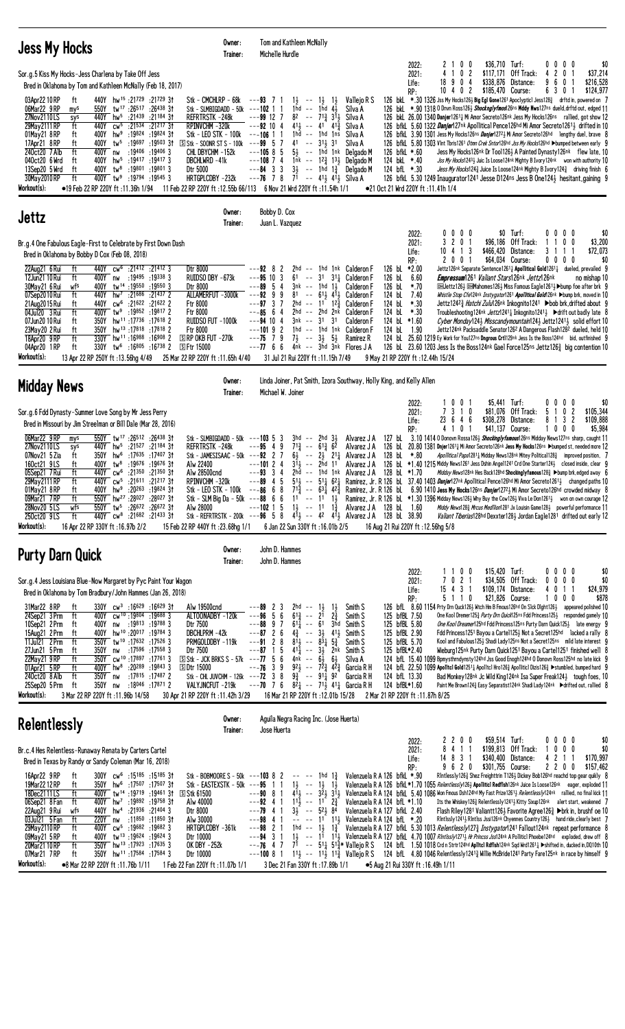| <b>Jess My Hocks</b>                                                                                                                                                                                                                                                                                                                                                                                                                                                                                                                                                                                                                                                                                                                                                                                                                                                                                                                                                                                                                                                                                                                                   | Owner:<br>Trainer: | Tom and Kathleen McNally<br>Michelle Hurdle                                                                                                                                                                                                                                                                                                                                                                                                                                                                                                                                |                                                                                                                                                                                                                                                                   |                                                                                                                                                                                                             |                                                                                      |                                                                                                                                                                                                                                                                                                                                                                                                                                                                                                                                                                                                                                                                                                                                                                                                                                      |                                                                                                                                                                                                                                                                                                                                                                                                                                                                                                                                                                                                                                                                                                                             |                                                                                                     |                                                   |
|--------------------------------------------------------------------------------------------------------------------------------------------------------------------------------------------------------------------------------------------------------------------------------------------------------------------------------------------------------------------------------------------------------------------------------------------------------------------------------------------------------------------------------------------------------------------------------------------------------------------------------------------------------------------------------------------------------------------------------------------------------------------------------------------------------------------------------------------------------------------------------------------------------------------------------------------------------------------------------------------------------------------------------------------------------------------------------------------------------------------------------------------------------|--------------------|----------------------------------------------------------------------------------------------------------------------------------------------------------------------------------------------------------------------------------------------------------------------------------------------------------------------------------------------------------------------------------------------------------------------------------------------------------------------------------------------------------------------------------------------------------------------------|-------------------------------------------------------------------------------------------------------------------------------------------------------------------------------------------------------------------------------------------------------------------|-------------------------------------------------------------------------------------------------------------------------------------------------------------------------------------------------------------|--------------------------------------------------------------------------------------|--------------------------------------------------------------------------------------------------------------------------------------------------------------------------------------------------------------------------------------------------------------------------------------------------------------------------------------------------------------------------------------------------------------------------------------------------------------------------------------------------------------------------------------------------------------------------------------------------------------------------------------------------------------------------------------------------------------------------------------------------------------------------------------------------------------------------------------|-----------------------------------------------------------------------------------------------------------------------------------------------------------------------------------------------------------------------------------------------------------------------------------------------------------------------------------------------------------------------------------------------------------------------------------------------------------------------------------------------------------------------------------------------------------------------------------------------------------------------------------------------------------------------------------------------------------------------------|-----------------------------------------------------------------------------------------------------|---------------------------------------------------|
| Sor.g.5 Kiss My Hocks-Jess Charlena by Take Off Jess<br>Bred in Oklahoma by Tom and Kathleen McNally (Feb 18, 2017)<br>440Y hw <sup>15</sup> :21729 :21729 3t<br>03Apr22 10 RP<br>ft<br>Stk - CMCHLRP - 68k<br>06Mar22 9 RP<br>550Y tw <sup>17</sup> :26 <sup>517</sup> :26 <sup>438</sup> 31<br>Stk - SLMBIGDADD - 50k $-$ -102 1 1<br>mys<br>27Nov2110LS<br>440Y<br>$hw^5$ :21439<br>:21184 31<br>REFRTRSTK-248k<br>sys<br>29May 2111 RP<br>ft<br>440Y<br>$cw^5$ :21534<br>$:21^{217}31$<br>RPINVCHM-320k<br>hw <sup>9</sup> :19824<br>:19824 31<br>Stk - LEO STK - 100k ---106 1 1<br>01May21 8RP<br>400Y<br>ft<br>17Apr21 8RP<br>400Y<br>tw5<br>:19697 :19503 31<br>$S$ Stk - SOONR ST S - 100k ---99 5 7<br>ft<br>:19406 :19406 3<br>240ct20 7 Alb<br>ft<br>400Y nw<br>CHL DBYCHM -152k<br>040ct20 6 Wrd<br>400Y<br>$hw^5$ :19417 :19417 3<br>DBCHLWRD -41k<br>ft<br>13Sep20 5 Wrd<br>$400Y$ tw <sup>8</sup><br>:19801 :19801 3<br>Dtr 5000<br>ft<br>30May 2010 RP<br>ft<br>400Y tw <sup>9</sup> :19794 :19545 3<br>HRTGPLCDBY -232k<br>Workout(s):<br>•19 Feb 22 RP 220Y ft: 11.36h 1/94                                                         |                    | $---93$ 7<br>1}<br>$\sim$ $\sim$<br>$1hd - 1hd 4\frac{1}{2}$<br>$---99 12 7$<br>$82 - -$<br>$41\frac{1}{2}$ -- $41\frac{1}{4}$ $41\frac{3}{4}$<br>$---92$ 10 4<br>$1hd - - 1hd$<br>41<br>$\sim$ $\sim$<br>$5\frac{1}{2}$ -- 1hd 1nk<br>$---105855$<br>$---108$ 7 4<br>$---84$ 3 3<br>$---76$ 7 8 $7^1$ $---$ 41 $\frac{1}{2}$ 41 $\frac{1}{2}$ Silva A<br>11.54h 1/1 Feb 22 RP 220Y ft: 12.55b 66/113 6 Nov 21 Wrd 220Y ft: 11.54h 1/1                                                                                                                                     | $1\frac{1}{2}$<br>$1\frac{1}{2}$<br>Silva A<br>713 311<br>Silva A<br>Silva A<br>1ns<br>Silva A<br>$31\frac{1}{2}$<br>3 <sup>1</sup><br>Silva A<br>Delgado M<br>1nk -- $12\frac{3}{4}$ 13 <sub>3</sub> Delgado M<br>$3\frac{1}{2}$ -- 1hd $1\frac{3}{4}$ Delgado M | Vallejo R S<br>126 bfkL *.60<br>124 bkL *.40<br>124 bfL *.30<br>●21 Oct 21 Wrd 220Y ft :11.41h 1/4                                                                                                          | 2022:<br>2021:<br>Life:<br>RP:                                                       | 0 <sub>0</sub><br>$1 \t0 \t2$<br>4<br>90<br>18<br>4<br>$10 + 02$<br>126 bkl. *.30 1326 Jss My Hocks126½ Big Eg1 Gone1261 Apoclyptic1 Jess128½ drftd in, powered on 7<br>126 bkl. *.90 1318 0 Dnvn Ross1263 Shocknglyfmos126ns Mddy Nws127ns dueld, drftd out, edged 11<br>126 bkl. 26.00 1340 Danjer12611 Mi Amor Secreto126nk Jess My Hocks126ns rallied, got show 12<br>126 bfkL 5.60 1322 <i>Danjer</i> 127nk Apollitical Pence126hd Mi Amor Secreto1261½ drifted in 10<br>126 bfkL 3.90 1301 Jess My Hocks126ns Danjer12723 Mi Amor Secreto126hd lengthy duel, brave 8<br>126 bfkl 5.80 1303 Vint Tbris1261 Otmn Crek Sntor126hd Jss My Hocks126hd >bumped between early 9<br>126 bfkl. 5.30 1249 Inaugurator 1241 Jesse D124ns Jess B One1243 hesitant, gaining 9                                                               | \$36,710 Turf:<br>\$117,171 Off Track:<br>\$338,876<br>Distance:<br>\$185,470 Course:<br>Jess My Hocks126nk Dr Too11263 A Painted Dynasty126nk flew late, 10<br>Jss My Hocks12433 Juic Is Loose124nk Mighty B Ivory124nk von with authority 10<br>Jess My Hocks1243 Juice Is Loose124nk Mighty B Ivory1243 driving finish 6                                                                                                                                                                                                                                                                                                                                                                                                 | $0\ 0\ 0$<br>0<br>20<br>4<br>9<br>6<br>0<br>6 3 0 1                                                 | \$0<br>\$37,214<br>\$216,528<br>\$124,977         |
| Jettz                                                                                                                                                                                                                                                                                                                                                                                                                                                                                                                                                                                                                                                                                                                                                                                                                                                                                                                                                                                                                                                                                                                                                  | Owner:<br>Trainer: | Bobby D. Cox<br>Juan L. Vazquez                                                                                                                                                                                                                                                                                                                                                                                                                                                                                                                                            |                                                                                                                                                                                                                                                                   |                                                                                                                                                                                                             |                                                                                      |                                                                                                                                                                                                                                                                                                                                                                                                                                                                                                                                                                                                                                                                                                                                                                                                                                      |                                                                                                                                                                                                                                                                                                                                                                                                                                                                                                                                                                                                                                                                                                                             |                                                                                                     |                                                   |
| Br.g.4 One Fabulous Eagle-First to Celebrate by First Down Dash<br>Bred in Oklahoma by Bobby D Cox (Feb 08, 2018)<br>cw <sup>6</sup> :21412 :21412 3<br>22Aug21 6 Rui<br>ft<br>440Y<br>Dtr 8000<br>RUIDSO DBY -673k<br>12Jun21 10 Rui<br>ft<br>400Y<br>:19495 :19338 3<br>nw<br>400Y<br>$tw^{14}$ :19550 :19550 3<br>30May21 6 Rui<br>wfs<br>Dtr 8000<br>07Sep2010 Rui<br>ft<br>440Y<br>$hw^7$ :21686<br>:214372<br>ALLAMERFUT -3000k<br>21 Aug 2015 Rui<br>440Y<br>$cw6$ :21622 :21622 2<br>ft<br><b>Ftr 8000</b><br>04Jul20 3 Rui<br>ft<br>400Y tw <sup>9</sup> :19852 :19817 2<br>Ftr 8000<br>07Jun20 10 Rui<br>350Y<br>hw <sup>11</sup> :17 <sup>736</sup> :17 <sup>618</sup> 2<br>RUIDSO FUT -1000k<br>ft<br>23May20 2 Rui<br>350Y hw <sup>13</sup> :17818 :17818 2<br>Ftr 8000<br>ft<br>hw <sup>11</sup> :16988 :16908 2<br>18Apr20 9RP<br>ft<br>$\Box$ RP OKB FUT -270 $k$<br>330Y<br>04Apr20 1RP<br>$330Y$ tw <sup>6</sup> :16805 :16738 2<br><b>SFtr 15000</b><br>ft<br>Workout(s):<br>25 Mar 22 RP 220Y ft: 11.65h 4/40<br>13 Apr 22 RP 250Y ft: 13.56hg 4/49                                                                                |                    | $---92$ 8<br>2<br>$---95$ 10 3<br>61<br>$---89$ 5 4<br>3nk -- 1hd 1½<br>81<br>$---9299$<br>---97 3<br>2hd<br>$2hd$ -- $2hd$ $2nk$<br>$---85$ 6 4<br>$---94$ 10 4<br>3nk -- 31<br>---10192<br>1hd -- 1hd 1nk<br>---75 7 9<br>$7\frac{1}{2}$ -- $3\frac{1}{2}$ $5\frac{1}{2}$<br>$---7766$<br>31 Jul 21 Rui 220Y ft: 11.15h 7/49                                                                                                                                                                                                                                             | 2hd -- 1hd 1nk Calderon F<br>$--$ 31 31 Galderon F<br>Calderon F<br>$-- 61\frac{1}{2}$ 41 Calderon F<br>$--$ 11 1 <sup>2</sup> / <sub>3</sub> Calderon F<br>Calderon F<br>31<br><b>Calderon F</b><br>Calderon F<br>Ramirez R<br>$4nk$ -- $3hd$ $3nk$ Flores $JA$  | 126 bL *2.00<br>126 bL<br>126 bL<br>124 bL<br>124 bL<br>124 bL<br>124 bl $*1.60$<br>124 bL<br>124 bL<br>9 May 21 RP 220Y ft: 12.44h 15/24                                                                   | 2022:<br>2021:<br>Life:<br>RP:<br>6.60<br>$*.70$<br>7.40<br>$*.30$<br>$*.30$<br>1.90 | $0\ 0\ 0\ 0$<br>3 2 0 1<br>$10 \t 4 \t 1 \t 3$<br>2 0 0 1<br>$25.601219$ Ey Work for You127ns <b>Dngrous Crt</b> 1129nk Jess Is the Boss124hd bid, outfinished 9<br>126 bl 23.60 1203 Jess Is the Boss124nk Gael Force125ns Jettz126 $\frac{3}{4}$ big contention 10                                                                                                                                                                                                                                                                                                                                                                                                                                                                                                                                                                 | \$0 Turf:<br>\$96,186 Off Track:<br>\$466,420 Distance:<br>\$64,034 Course:<br>Jettz126nk Separate Sentence1261 <sub>4</sub> Apollitical Gold1261 <sub>4</sub> dueled, prevailed 9<br><b>Empressum</b> 1261 <i>Valiant Stars</i> 126nk Jettz126nk<br>@ELJettz126½ @EMahomes126½ Miss Famous Eagle1261½ ▶bump foe after brk 9<br>Whistle Stop Cfe124nk Instygator1261 Apollitical Gold126nk >bump brk, moved in 10<br>Jettz12423 <i>Hatchi Zulu</i> 126nk Inkognito1241 ▶bob brk.drifted about 9<br>Troubleshooting124nk Jettz12411 Inkognito12411 ▶ bdrift out badly late 8<br>Cyber Monday124} Misscandymountain124} Jettz1241} solid effort 10<br>Jettz124nk Packsaddle Senator1262 A Dangerous Flash1282 dueled, held 10 | 0000<br>0 <sub>0</sub><br>-1<br>3 1 1 1<br>$0\ 0\ 0\ 0$                                             | \$0<br>\$3,200<br>\$72,073<br>\$0<br>no mishap 10 |
| <b>Midday News</b>                                                                                                                                                                                                                                                                                                                                                                                                                                                                                                                                                                                                                                                                                                                                                                                                                                                                                                                                                                                                                                                                                                                                     | Owner:<br>Trainer: | Linda Joiner, Pat Smith, Izora Southway, Holly King, and Kelly Allen<br>Michael W. Joiner                                                                                                                                                                                                                                                                                                                                                                                                                                                                                  |                                                                                                                                                                                                                                                                   |                                                                                                                                                                                                             |                                                                                      |                                                                                                                                                                                                                                                                                                                                                                                                                                                                                                                                                                                                                                                                                                                                                                                                                                      |                                                                                                                                                                                                                                                                                                                                                                                                                                                                                                                                                                                                                                                                                                                             |                                                                                                     |                                                   |
| Sor.g.6 Fdd Dynasty-Summer Love Song by Mr Jess Perry<br>Bred in Missouri by Jim Streelman or Bill Dale (Mar 28, 2016)<br>550Y tw <sup>17</sup> :26512 :26438 31<br>06Mar22 9RP<br>Stk - SLMBIGDADD - 50k $-$ -103 5 3<br>mys<br>27Nov2110LS<br>440Y hw <sup>5</sup> :21527 :21184 31<br>REFRTRSTK-248k<br>sys<br>07Nov21 5 Zia<br>hw <sup>6</sup> :17635 :17407 31<br>ft<br>350Y<br>Stk - JAMESISAAC - 50k $--92$ 2 7<br>400Y tw <sup>8</sup> :19676 :19676 31<br>160ct21 9LS<br>Alw 22400<br>ft<br>05Sep21 7 Rui<br>ft<br>440Y<br>cw <sup>6</sup> :21 <sup>350</sup> :21 <sup>350</sup> 31<br>Alw 28500cnd<br>29May 2111 RP<br>ft<br>440Y cw <sup>5</sup> :21611 :21217 31<br>RPINVCHM-320k<br>400Y hw <sup>9</sup> :20 <sup>263</sup> :19824 31<br>Stk - LEO STK - 100k<br>01May21 8RP<br>ft<br>09Mar21 7RP<br>550Y hw <sup>27</sup> :28027 :28027 3t<br>ft<br>Stk - SLM Big Da - 50k ---88 6 6<br>28Nov20 5LS<br>550Y tw <sup>5</sup> :26672 :26672 31<br>Alw 28000<br>wfs<br>440Y cw <sup>8</sup> :21682 :21433 31<br>250ct20 9LS<br>ft<br>Workout(s):<br>16 Apr 22 RP 330Y ft: 16.97b 2/2<br>15 Feb 22 RP 440Y ft: 23.68hg 1/1                   |                    | $3hd$ -- $2hd$ $3\frac{1}{2}$<br>$7^{13}$ -- $6^{13}$ $6^{2}$<br>$---95$ 4 9<br>64<br>$---10124$<br>31, -- 2hd 11<br>$---93$ 3 4<br>$--89$ 4 5<br>$-$ - $-$ 86 6 8 71 $\frac{3}{2}$ - - 63 $\frac{1}{4}$ 42 $\frac{3}{2}$ Ramirez, Jr. R 126 bl 6.90 1410 Jess My Hocks126ns Danjer1272} Mi Amor Secreto126hd crowded midway 8<br>$---102$ 1 5<br>Stk - REFRTRSTK - 200k ---96 5 8 $4\overline{1}$ -- 4 <sup>2</sup> $4\overline{1}$ Alvarez JA 128 bL 38.90<br>6 Jan 22 Sun 330Y ft: 16.01b 2/5                                                                           | $-$ 2 <sup>1</sup> / <sub>4</sub> Alvarez J A                                                                                                                                                                                                                     | Alvarez J A<br>Alvarez J A<br>128 bL *.80<br>Alvarez J A<br>2hd -- 1hd 1nk Alvarez J A 128 bl $*1.70$<br>1 $\frac{1}{2}$ -- 11 1 $\frac{3}{4}$ Alvarez JA 128 bL 1.60<br>16 Aug 21 Rui 220Y ft: 12.56hg 5/8 | 2022:<br>2021:<br>Life:<br>RP:                                                       | 1001<br>7 3 1 0<br>23<br>646<br>1 0 1<br>4<br>127 bL 3.10 1414 0 Donovn Rossa1263 Shockingly famous126ns Midday News127ns sharp, caught 11<br>126 bl. 20.80 1381 Dnjer1261 <sup>1</sup> Mi Amor Secreto126nk Jess My Hocks126ns >bumped st, needed more 12<br>126 bL *1.40 1215 Middy News1261 Jess Dshin Angel1241 Crd One Starter124 $\frac{1}{2}$ closed inside, clear 9<br>$51\frac{1}{2}$ - $ 51\frac{1}{4}$ 62 $\frac{1}{4}$ Ramirez, Jr. R 126 bl 37.40 1403 <i>Danjer</i> 127nk Apollitical Pence126hd Mi Amor Secreto1261 3 changed paths 10<br>$11$ -- $11$ $13$ Ramirez, Jr. R 126 bl. *1.30 1396 Midday News126½ Why Buy the Cow126½ Viva Le Don1261½ won on own courage 12                                                                                                                                              | $$5,441$ Turf:<br>\$81,076<br>Off Track:<br>\$308,278<br>Distance:<br>\$41,137 Course:<br>Apollitical Papa12811 Midday News128nk Mitey Political1283 improved position, 7<br><i>Midday News</i> 128nk Hes Back128hd Shockinglyfamous128 <sup>3</sup> ▶bump brk, edged away 6<br>Middy News128 <sub>3</sub> Mrcus Medilion1281 Jx Louisin Game1283 powerful performance 11<br>Valiant Tiberias128hd Dexxter1281 Jordan Eagle1281 drifted out early 12                                                                                                                                                                                                                                                                        | $0\quad 0$<br>0<br>0<br>$\overline{\mathbf{c}}$<br>5<br>0<br>-1<br>8<br>3<br>$\overline{c}$<br>1000 | \$0<br>\$105,344<br>\$109,888<br>\$5,984          |
| <b>Purty Darn Quick</b>                                                                                                                                                                                                                                                                                                                                                                                                                                                                                                                                                                                                                                                                                                                                                                                                                                                                                                                                                                                                                                                                                                                                | Owner:<br>Trainer: | John D. Hammes<br>John D. Hammes                                                                                                                                                                                                                                                                                                                                                                                                                                                                                                                                           |                                                                                                                                                                                                                                                                   |                                                                                                                                                                                                             |                                                                                      |                                                                                                                                                                                                                                                                                                                                                                                                                                                                                                                                                                                                                                                                                                                                                                                                                                      |                                                                                                                                                                                                                                                                                                                                                                                                                                                                                                                                                                                                                                                                                                                             |                                                                                                     |                                                   |
| Sor.g.4 Jess Louisiana Blue-Now Margaret by Pyc Paint Your Wagon<br>Bred in Oklahoma by Tom Bradbury/John Hammes (Jan 26, 2018)<br>31Mar22 8RP<br>$330Y$ cw <sup>3</sup> :16 <sup>629</sup> :16 <sup>629</sup> 31<br>ft<br>Alw 19500cnd<br>24Sep21 3 Prm<br>ft<br>cw <sup>10</sup> :19804 :19688 3<br>ALTOONADBY -120k<br>400Y<br>10Sep21 2 Prm<br>Dtr 7500<br>400Y<br>nw :19813 :19788 3<br>ft<br>15Aug21 2 Prm<br>hw <sup>10</sup> :20 <sup>017</sup> :19 <sup>784</sup> 3<br>DBCHLPRM-42k<br>ft<br>400Y<br>350Y tw <sup>10</sup> :17632:175263<br>PRMGOLDDBY-119k<br>11Jul21 2Prm<br>ft<br>27Jun21 5 Prm<br>nw :17596 :17558 3<br>Dtr 7500<br>ft<br>350Y<br>350Y cw <sup>10</sup> :17897 :17761 3<br>22May21 9RP<br>$S$ Stk - JCK BRKS S - 57k ---77 5 6<br>ft<br>400Y hw <sup>8</sup> :20289 :19843 3<br>01Apr21 5RP<br>ft<br><b>SDtr 15000</b><br>240ct20 8 Alb<br>ft<br>350Y<br>:17815 :17487 2<br>Stk - CHL JUVCHM - 126k --- <b>72</b> 3 8<br>nw<br>25Sep20 5 Prm<br>ft<br>:18 <sup>046</sup> :17 <sup>871</sup> 2<br>VALYJNCFUT -219k<br>350Y<br>nw<br>Workout(s):<br>3 Mar 22 RP 220Y ft : 11.96b 14/58<br>30 Apr 21 RP 220Y ft: 11.42h 3/29 |                    | 2hd<br>---89<br>$\mathbf{z}$<br>3<br>$\sim$ $-$<br>$---96$ 5<br>6<br>$6^{13}$<br>$ -$<br>$---88$ 9 7<br>$6^{11}$<br>$-- 61$<br>$---87$ 2 6<br>$4\frac{3}{4}$<br>$\sim$ $-$<br>$---91$ 2 8<br>$81\frac{1}{2}$ -- $83\frac{1}{4}$ $5\frac{3}{4}$<br>$41\frac{1}{4}$ -- $3\frac{1}{2}$ 2nk<br>$---87$ 1 5<br>4nk -- 61<br>$92\frac{1}{2}$ -- $7\frac{2}{4}$ $4\frac{2}{4}$<br>---76<br>39<br>$9\frac{3}{4}$ -- $91\frac{1}{4}$ 92<br>---70 7 6 $8^2$ <sub>4</sub> -- 7 <sup>1</sup> <sub>2</sub> 4 <sup>1</sup> <sub>4</sub> Garcia R H<br>16 Mar 21 RP 220Y ft: 12.01b 15/28 | Smith S<br>1}<br>$\frac{1}{2}$<br>$2\frac{3}{4}$<br>2 <sup>1</sup><br>Smith S<br>3hd<br>Smith S<br>$3\frac{1}{2}$<br>411<br>Smith S<br>Smith S<br>Smith S<br>64<br>Silva A<br>Garcia R H<br>Garcia R H                                                            | 125 bfBL 7.50<br>125 bfBL 5.80<br>125 bfBL 2.90<br>125 bfBL 5.70<br>125 bfBL*2.40<br>124 bfL 13.30<br>124 bfBL*1.60<br>2 Mar 21 RP 220Y ft : 11.87h 8/25                                                    | 2022:<br>2021:<br>Life:<br>RP:                                                       | 1100<br>7 0 2 1<br>15 4 3 1<br>5 1 1 0<br>126 bfl. 8.60 1154 Prty Drn Quck126} Witch Hm B Fmous126hd On Slck Dight126} appeared polished 10<br>124 bfL 15.40 1099 Bpmysthrndynsty124hd Jss Good Enogh124hd 0 Donovn Ross125hd no late kick 9<br>124 bfL 22.50 1099 Apolitcl Gold1251 $\frac{1}{4}$ Apolitcl Hro126 $\frac{3}{4}$ Apoliiticl Dizis126 $\frac{3}{4}$ $\blacktriangleright$ stumbled, bumped hard 9                                                                                                                                                                                                                                                                                                                                                                                                                     | \$15,420 Turf:<br>\$34,505 Off Track:<br>\$109,174 Distance:<br>\$21,826 Course:<br>One Kool Dremer1253 Purty Drn Quick125ns Fdd Princess1253 responded gamely 10<br>One Kool Dreamer125hd Fdd Princess125ns Purty Darn Quick125} late energy 9<br>Fdd Princess 1251 Bayou a Cartel 1253 Not a Secret 125hd lacked a rally 8<br>Kool and Fabulous1253 Shadi Lady125ns Not a Secret125ns mild late interest 9<br>Wieburg125nk Purty Darn Quick1251 Bayou a Carte11251 finished we11 8<br>Bad Monkey128nk Jc Wild King124nk Isa Super Freak1241 tough foes, 10<br>Paint Me Brown1243 Easy Separatist124nk Shadi Lady124nk ▶ drifted out, rallied 8                                                                            | $0\ 0\ 0\ 0$<br>0<br>$0\ 0\ 0$<br>4<br>0<br>1 1<br>1000                                             | \$0<br>\$0<br>\$24,979<br>\$878                   |
| <b>Relentlessly</b>                                                                                                                                                                                                                                                                                                                                                                                                                                                                                                                                                                                                                                                                                                                                                                                                                                                                                                                                                                                                                                                                                                                                    | Owner:<br>Trainer: | Aguila Negra Racing Inc. (Jose Huerta)<br>Jose Huerta                                                                                                                                                                                                                                                                                                                                                                                                                                                                                                                      |                                                                                                                                                                                                                                                                   |                                                                                                                                                                                                             |                                                                                      |                                                                                                                                                                                                                                                                                                                                                                                                                                                                                                                                                                                                                                                                                                                                                                                                                                      |                                                                                                                                                                                                                                                                                                                                                                                                                                                                                                                                                                                                                                                                                                                             |                                                                                                     |                                                   |
| Br.c.4 Hes Relentless-Runaway Renata by Carters Cartel<br>Bred in Texas by Randy or Sandy Coleman (Mar 16, 2018)<br>16Apr22 9RP<br>300Y cw <sup>6</sup> :15185 :15185 31<br>ft<br>Stk - BOBMOORE S - 50k ---103 8 2<br>19Mar 22 12 RP<br>350Y hw <sup>6</sup> :17507 :17507 31<br>Stk - EASTEXSTK - 50k ---95 1 1<br>ft<br>18Dec2111LS<br>400Y tw <sup>14</sup> :19719:1946131<br><b>S Stk 61500</b><br>ft<br>06Sep21 8 Fan<br>400Y hw <sup>7</sup> :19892 :19758 31<br>Alw 40000<br>ft<br>22Aug21 9 Rui<br>440Y hw <sup>4</sup> :21936 :21404 3<br>wfs<br>Dtr 8000<br>03Jul21 5 Fan<br>ft<br>220Y nw<br>:11 <sup>850</sup> :11 <sup>850</sup> 3†<br>Alw 30000<br>29May 2110 RP<br>cw <sup>5</sup> :19682 :19682 3<br>HRTGPLCDBY-361k<br>ft<br>400Y<br>09May21 5 RP<br>tw <sup>13</sup> :19624:196243<br>ft<br>400Y<br>Dtr 10000<br>350Y hw <sup>13</sup> :17923:176353<br>ft<br>20Mar2110RP<br>OK DBY -252k<br>07Mar21 7RP<br>350Y hw <sup>11</sup> :17584 :17584 3<br>ft<br>Dtr 10000<br>Workout(s):<br>•8 Mar 22 RP 220Y ft: 11.76b 1/11<br>1 Feb 22 Fan 220Y ft: 11.07b 1/1                                                                        |                    | $- --$ 1hd 1 $\frac{3}{7}$<br>$1\frac{1}{2}$ -- $1\frac{1}{2}$ $1\frac{1}{2}$<br>$---90$ 8 1<br>$1^{11}$<br>$---92$ 4 1<br>$3\frac{1}{2}$ -- $5\frac{2}{2}$ $8\frac{4}{3}$<br>$---79$ 4 1<br>$---98$ 4 1<br>1hd -- $1\frac{1}{2}$ $1\frac{3}{4}$<br>$---98$ 2 1<br>---94 3 1<br>$---76$ 4 7<br>$---10081$<br>3 Dec 21 Fan 330Y ft: 17.89b 1/1                                                                                                                                                                                                                              | $-$ 1 <sup>1</sup> $2\frac{3}{4}$<br>7 <sup>1</sup> -- 5 <sup>1</sup> <sub>4</sub> 5 <sup>1</sup> <sup>3</sup> <sup>*</sup> Vallejo R S                                                                                                                           | Valenzuela R A 126 bfkL *.90<br>Valenzuela R A 124 bfL *1.10<br>Valenzuela R A 127 bfkL 2.40<br>$--- 11 113$ Valenzuela R A 124 bfL *.20<br>●5 Aug 21 Rui 330Y ft: 16.49h 1/11                              | 2022:<br>2021:<br>Life:<br>RP:                                                       | 2 2 0 0<br>8 4 1 1<br>14 8 3 1<br>9 6 2 0<br>Valenzuela R A 126 bfkL *1.70 1055 Relentlessly126} Apolliticl Redflsh126nk Juice Is Loose126nk eager, exploded 11<br>411 - 321 311 Valenzuela R A 124 bfkl. 5.40 1086 Won Fmous Dsh124hd My Fast Prize12611 Relentlessly124nk rallied, no final kick 11<br>Valenzuela R A 127 bfkL 5.30 1013 Relentlessly1273 Instygator1241 Fallout124nk repeat performance 8<br>1} -- 11 11} Valenzuela R A 127 bfkl. 4.70 1007 RIntlssly1271} Hr Princss Jss124nk A Polliticl Phoebe124hd exploded, drew off 8<br>124 bfL 1.50 1018 Crd n Strtr124hd Aplitel Rdflsh124nk Sqd Wrd12614 Shifted in, ducked in, DQ10th 10<br>$11\frac{1}{2}$ -- $11\frac{1}{2}$ 11 $\frac{3}{4}$ Vallejo R S 124 bfl. 4.80 1046 Relentlessly1241 $\frac{3}{4}$ Willie McBride1241 Party Fare125nk in race by himself 9 | \$59,514 Turf:<br>$$199,813$ Off Track:<br>\$340,400<br>Distance:<br>\$301,755 Course:<br>RIntlessly1263 Shez Freighttrin T1263 Dickey Bob126hd reachd top gear quikly 8<br>Its the Whiskey1263 Relentlessly12413 Kitty Sixup126nk alert start, weakened 7<br>Flash Riley 1281 Valiantt126 $\frac{1}{2}$ Favorite Agree 126 $\frac{3}{4}$ Drk in, brushf oe 10<br>RIntlssly12411 RIntlss Jssi126nk Chyennes Country1261 hand ride, clearly best 7                                                                                                                                                                                                                                                                           | $0\,0\,0\,0$<br>$0\quad 0$<br>0<br>$\mathbf{1}$<br>42<br>$\mathbf{1}$<br>-1<br>2200                 | \$0<br>\$0<br>\$170,997<br>\$157,462              |